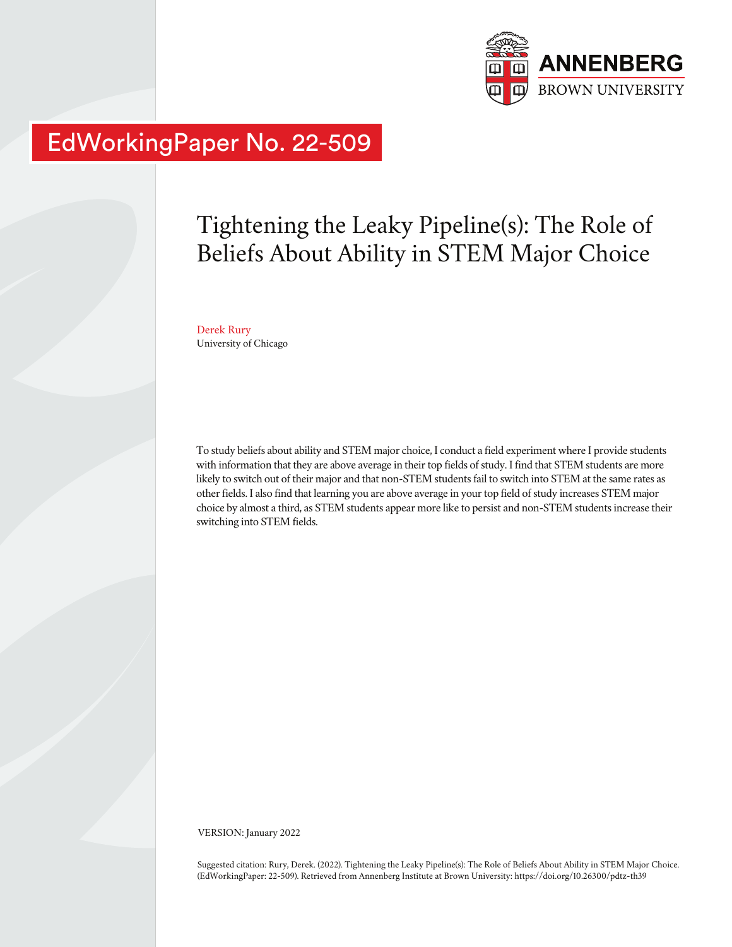

# EdWorkingPaper No. 22-509

# Tightening the Leaky Pipeline(s): The Role of Beliefs About Ability in STEM Major Choice

Derek Rury University of Chicago

To study beliefs about ability and STEM major choice, I conduct a field experiment where I provide students with information that they are above average in their top fields of study. I find that STEM students are more likely to switch out of their major and that non-STEM students fail to switch into STEM at the same rates as other fields. I also find that learning you are above average in your top field of study increases STEM major choice by almost a third, as STEM students appear more like to persist and non-STEM students increase their switching into STEM fields.

VERSION: January 2022

Suggested citation: Rury, Derek. (2022). Tightening the Leaky Pipeline(s): The Role of Beliefs About Ability in STEM Major Choice. (EdWorkingPaper: 22-509). Retrieved from Annenberg Institute at Brown University: https://doi.org/10.26300/pdtz-th39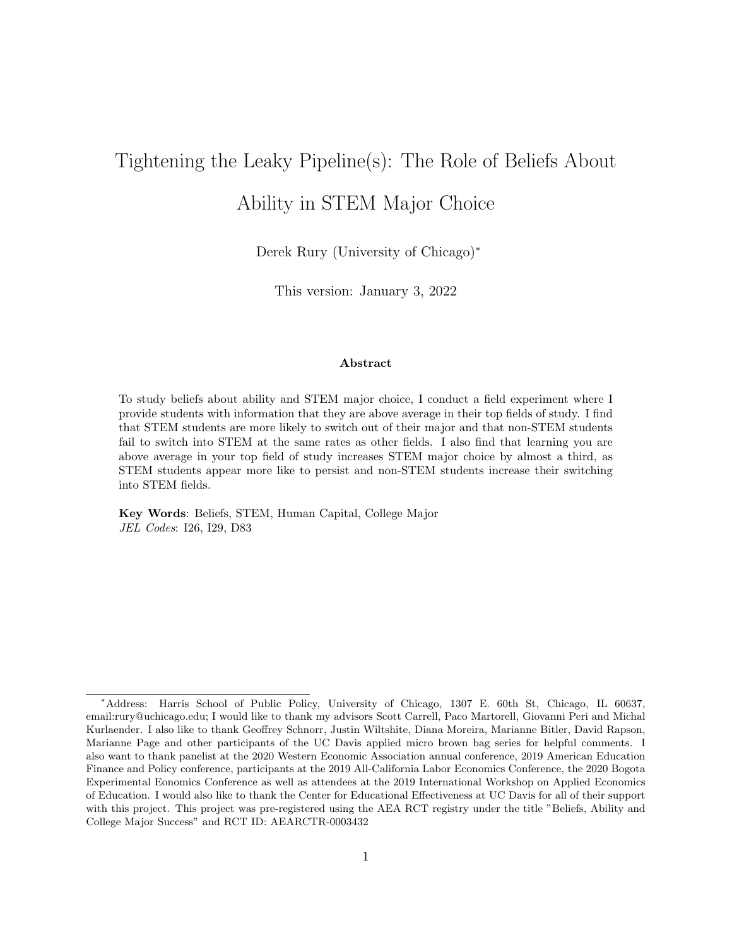# Tightening the Leaky Pipeline(s): The Role of Beliefs About Ability in STEM Major Choice

Derek Rury (University of Chicago)<sup>∗</sup>

This version: January 3, 2022

#### Abstract

To study beliefs about ability and STEM major choice, I conduct a field experiment where I provide students with information that they are above average in their top fields of study. I find that STEM students are more likely to switch out of their major and that non-STEM students fail to switch into STEM at the same rates as other fields. I also find that learning you are above average in your top field of study increases STEM major choice by almost a third, as STEM students appear more like to persist and non-STEM students increase their switching into STEM fields.

Key Words: Beliefs, STEM, Human Capital, College Major JEL Codes: I26, I29, D83

<sup>∗</sup>Address: Harris School of Public Policy, University of Chicago, 1307 E. 60th St, Chicago, IL 60637, email:rury@uchicago.edu; I would like to thank my advisors Scott Carrell, Paco Martorell, Giovanni Peri and Michal Kurlaender. I also like to thank Geoffrey Schnorr, Justin Wiltshite, Diana Moreira, Marianne Bitler, David Rapson, Marianne Page and other participants of the UC Davis applied micro brown bag series for helpful comments. I also want to thank panelist at the 2020 Western Economic Association annual conference, 2019 American Education Finance and Policy conference, participants at the 2019 All-California Labor Economics Conference, the 2020 Bogota Experimental Eonomics Conference as well as attendees at the 2019 International Workshop on Applied Economics of Education. I would also like to thank the Center for Educational Effectiveness at UC Davis for all of their support with this project. This project was pre-registered using the AEA RCT registry under the title "Beliefs, Ability and College Major Success" and RCT ID: AEARCTR-0003432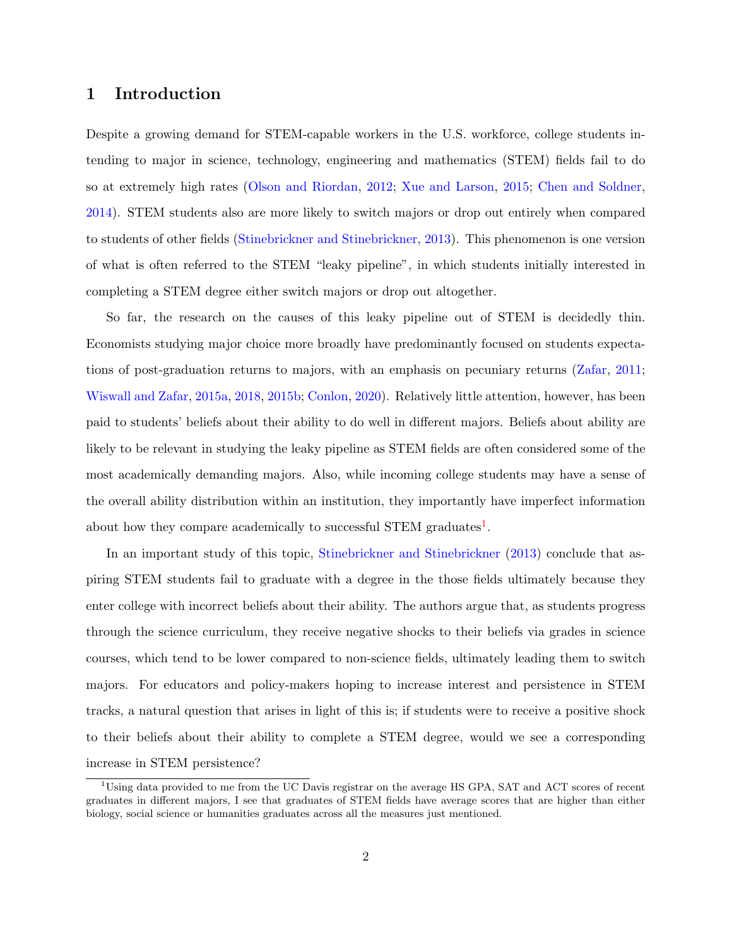# 1 Introduction

Despite a growing demand for STEM-capable workers in the U.S. workforce, college students intending to major in science, technology, engineering and mathematics (STEM) fields fail to do so at extremely high rates [\(Olson and Riordan,](#page-27-0) [2012;](#page-27-0) [Xue and Larson,](#page-28-0) [2015;](#page-28-0) [Chen and Soldner,](#page-26-0) [2014\)](#page-26-0). STEM students also are more likely to switch majors or drop out entirely when compared to students of other fields [\(Stinebrickner and Stinebrickner,](#page-28-1) [2013\)](#page-28-1). This phenomenon is one version of what is often referred to the STEM "leaky pipeline", in which students initially interested in completing a STEM degree either switch majors or drop out altogether.

So far, the research on the causes of this leaky pipeline out of STEM is decidedly thin. Economists studying major choice more broadly have predominantly focused on students expectations of post-graduation returns to majors, with an emphasis on pecuniary returns [\(Zafar,](#page-29-0) [2011;](#page-29-0) [Wiswall and Zafar,](#page-28-2) [2015a,](#page-28-2) [2018,](#page-28-3) [2015b;](#page-28-4) [Conlon,](#page-26-1) [2020\)](#page-26-1). Relatively little attention, however, has been paid to students' beliefs about their ability to do well in different majors. Beliefs about ability are likely to be relevant in studying the leaky pipeline as STEM fields are often considered some of the most academically demanding majors. Also, while incoming college students may have a sense of the overall ability distribution within an institution, they importantly have imperfect information about how they compare academically to successful STEM graduates<sup>[1](#page-2-0)</sup>.

In an important study of this topic, [Stinebrickner and Stinebrickner](#page-28-1) [\(2013\)](#page-28-1) conclude that aspiring STEM students fail to graduate with a degree in the those fields ultimately because they enter college with incorrect beliefs about their ability. The authors argue that, as students progress through the science curriculum, they receive negative shocks to their beliefs via grades in science courses, which tend to be lower compared to non-science fields, ultimately leading them to switch majors. For educators and policy-makers hoping to increase interest and persistence in STEM tracks, a natural question that arises in light of this is; if students were to receive a positive shock to their beliefs about their ability to complete a STEM degree, would we see a corresponding increase in STEM persistence?

<span id="page-2-0"></span><sup>1</sup>Using data provided to me from the UC Davis registrar on the average HS GPA, SAT and ACT scores of recent graduates in different majors, I see that graduates of STEM fields have average scores that are higher than either biology, social science or humanities graduates across all the measures just mentioned.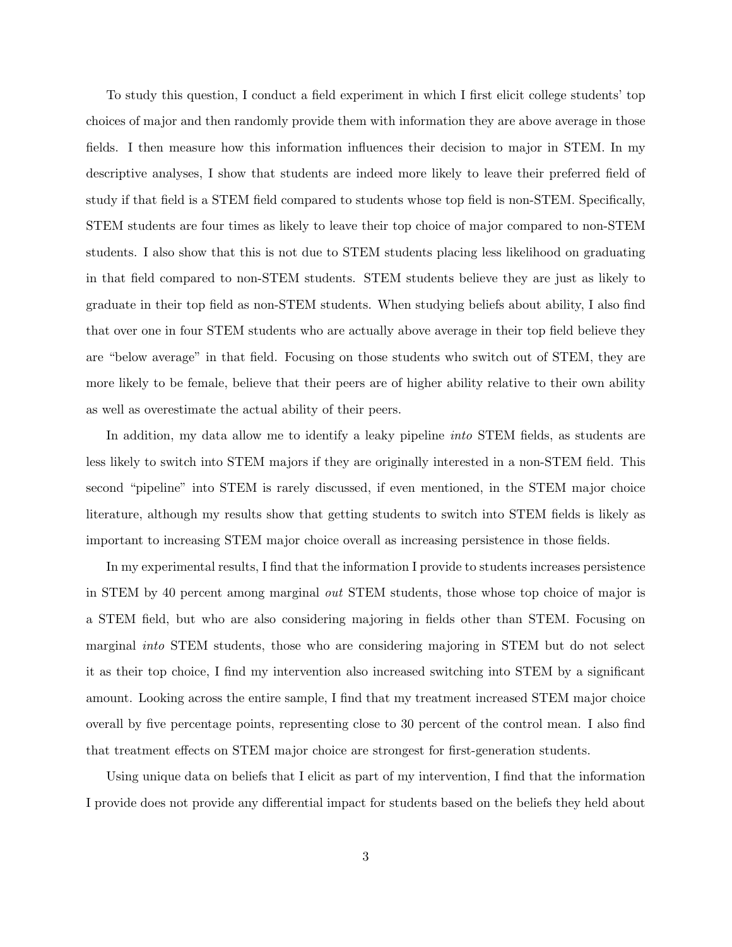To study this question, I conduct a field experiment in which I first elicit college students' top choices of major and then randomly provide them with information they are above average in those fields. I then measure how this information influences their decision to major in STEM. In my descriptive analyses, I show that students are indeed more likely to leave their preferred field of study if that field is a STEM field compared to students whose top field is non-STEM. Specifically, STEM students are four times as likely to leave their top choice of major compared to non-STEM students. I also show that this is not due to STEM students placing less likelihood on graduating in that field compared to non-STEM students. STEM students believe they are just as likely to graduate in their top field as non-STEM students. When studying beliefs about ability, I also find that over one in four STEM students who are actually above average in their top field believe they are "below average" in that field. Focusing on those students who switch out of STEM, they are more likely to be female, believe that their peers are of higher ability relative to their own ability as well as overestimate the actual ability of their peers.

In addition, my data allow me to identify a leaky pipeline *into* STEM fields, as students are less likely to switch into STEM majors if they are originally interested in a non-STEM field. This second "pipeline" into STEM is rarely discussed, if even mentioned, in the STEM major choice literature, although my results show that getting students to switch into STEM fields is likely as important to increasing STEM major choice overall as increasing persistence in those fields.

In my experimental results, I find that the information I provide to students increases persistence in STEM by 40 percent among marginal out STEM students, those whose top choice of major is a STEM field, but who are also considering majoring in fields other than STEM. Focusing on marginal into STEM students, those who are considering majoring in STEM but do not select it as their top choice, I find my intervention also increased switching into STEM by a significant amount. Looking across the entire sample, I find that my treatment increased STEM major choice overall by five percentage points, representing close to 30 percent of the control mean. I also find that treatment effects on STEM major choice are strongest for first-generation students.

Using unique data on beliefs that I elicit as part of my intervention, I find that the information I provide does not provide any differential impact for students based on the beliefs they held about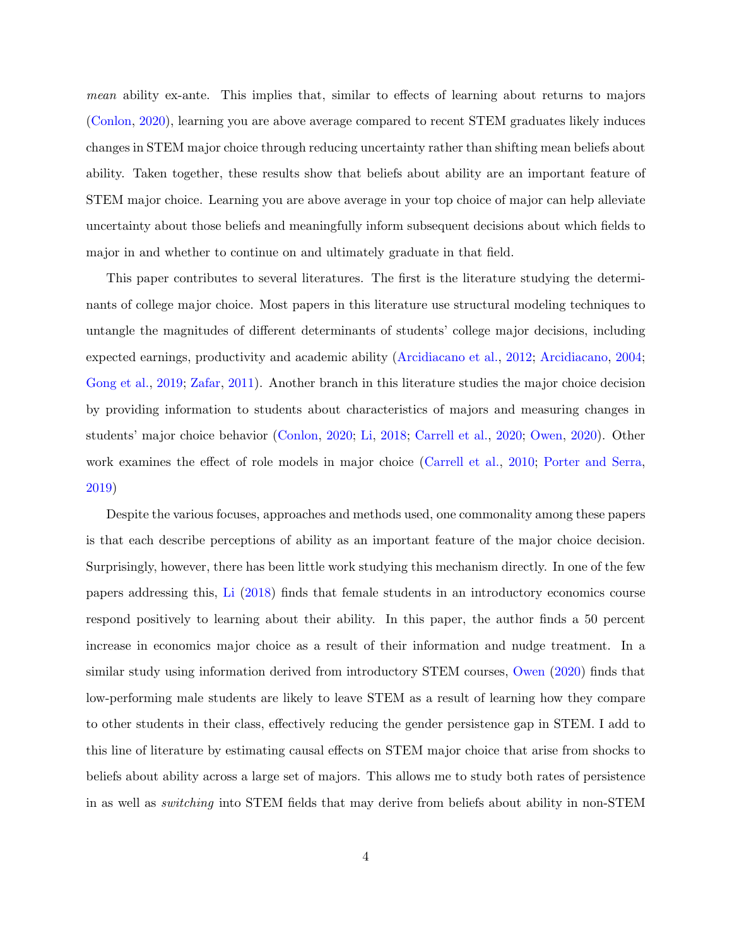mean ability ex-ante. This implies that, similar to effects of learning about returns to majors [\(Conlon,](#page-26-1) [2020\)](#page-26-1), learning you are above average compared to recent STEM graduates likely induces changes in STEM major choice through reducing uncertainty rather than shifting mean beliefs about ability. Taken together, these results show that beliefs about ability are an important feature of STEM major choice. Learning you are above average in your top choice of major can help alleviate uncertainty about those beliefs and meaningfully inform subsequent decisions about which fields to major in and whether to continue on and ultimately graduate in that field.

This paper contributes to several literatures. The first is the literature studying the determinants of college major choice. Most papers in this literature use structural modeling techniques to untangle the magnitudes of different determinants of students' college major decisions, including expected earnings, productivity and academic ability [\(Arcidiacano et al.,](#page-25-0) [2012;](#page-25-0) [Arcidiacano,](#page-25-1) [2004;](#page-25-1) [Gong et al.,](#page-27-1) [2019;](#page-27-1) [Zafar,](#page-29-0) [2011\)](#page-29-0). Another branch in this literature studies the major choice decision by providing information to students about characteristics of majors and measuring changes in students' major choice behavior [\(Conlon,](#page-26-1) [2020;](#page-26-1) [Li,](#page-27-2) [2018;](#page-27-2) [Carrell et al.,](#page-26-2) [2020;](#page-26-2) [Owen,](#page-28-5) [2020\)](#page-28-5). Other work examines the effect of role models in major choice [\(Carrell et al.,](#page-26-3) [2010;](#page-26-3) [Porter and Serra,](#page-28-6) [2019\)](#page-28-6)

Despite the various focuses, approaches and methods used, one commonality among these papers is that each describe perceptions of ability as an important feature of the major choice decision. Surprisingly, however, there has been little work studying this mechanism directly. In one of the few papers addressing this, [Li](#page-27-2) [\(2018\)](#page-27-2) finds that female students in an introductory economics course respond positively to learning about their ability. In this paper, the author finds a 50 percent increase in economics major choice as a result of their information and nudge treatment. In a similar study using information derived from introductory STEM courses, [Owen](#page-28-5) [\(2020\)](#page-28-5) finds that low-performing male students are likely to leave STEM as a result of learning how they compare to other students in their class, effectively reducing the gender persistence gap in STEM. I add to this line of literature by estimating causal effects on STEM major choice that arise from shocks to beliefs about ability across a large set of majors. This allows me to study both rates of persistence in as well as switching into STEM fields that may derive from beliefs about ability in non-STEM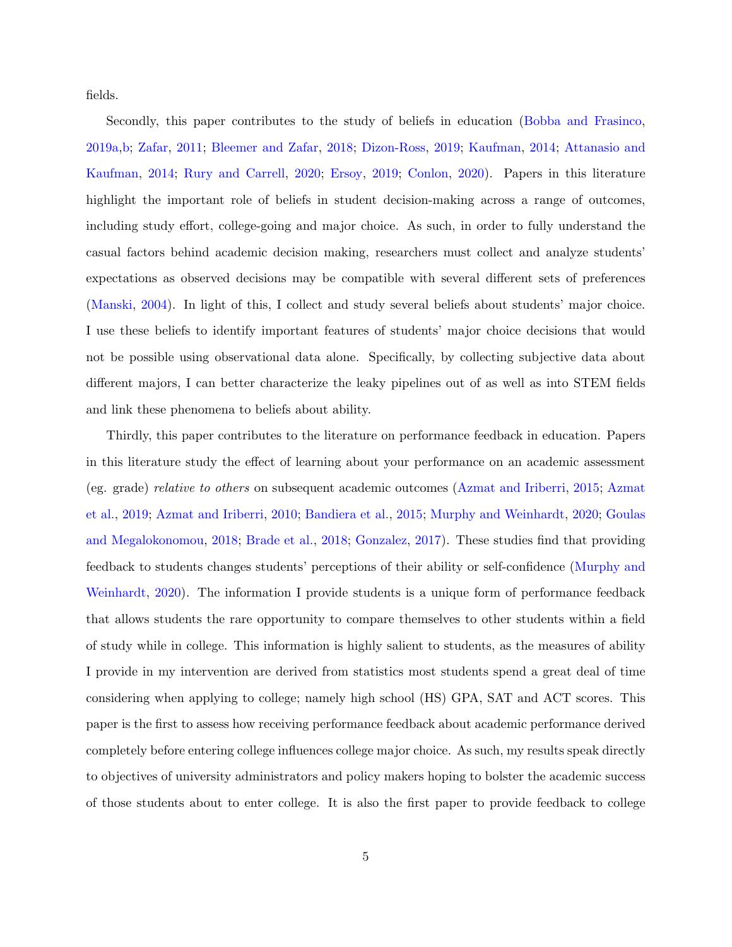fields.

Secondly, this paper contributes to the study of beliefs in education [\(Bobba and Frasinco,](#page-26-4) [2019a](#page-26-4)[,b;](#page-26-5) [Zafar,](#page-29-0) [2011;](#page-29-0) [Bleemer and Zafar,](#page-26-6) [2018;](#page-26-6) [Dizon-Ross,](#page-27-3) [2019;](#page-27-3) [Kaufman,](#page-27-4) [2014;](#page-27-4) [Attanasio and](#page-25-2) [Kaufman,](#page-25-2) [2014;](#page-25-2) [Rury and Carrell,](#page-28-7) [2020;](#page-28-7) [Ersoy,](#page-27-5) [2019;](#page-27-5) [Conlon,](#page-26-1) [2020\)](#page-26-1). Papers in this literature highlight the important role of beliefs in student decision-making across a range of outcomes, including study effort, college-going and major choice. As such, in order to fully understand the casual factors behind academic decision making, researchers must collect and analyze students' expectations as observed decisions may be compatible with several different sets of preferences [\(Manski,](#page-27-6) [2004\)](#page-27-6). In light of this, I collect and study several beliefs about students' major choice. I use these beliefs to identify important features of students' major choice decisions that would not be possible using observational data alone. Specifically, by collecting subjective data about different majors, I can better characterize the leaky pipelines out of as well as into STEM fields and link these phenomena to beliefs about ability.

Thirdly, this paper contributes to the literature on performance feedback in education. Papers in this literature study the effect of learning about your performance on an academic assessment (eg. grade) relative to others on subsequent academic outcomes [\(Azmat and Iriberri,](#page-26-7) [2015;](#page-26-7) [Azmat](#page-25-3) [et al.,](#page-25-3) [2019;](#page-25-3) [Azmat and Iriberri,](#page-26-8) [2010;](#page-26-8) [Bandiera et al.,](#page-26-9) [2015;](#page-26-9) [Murphy and Weinhardt,](#page-27-7) [2020;](#page-27-7) [Goulas](#page-27-8) [and Megalokonomou,](#page-27-8) [2018;](#page-27-8) [Brade et al.,](#page-26-10) [2018;](#page-26-10) [Gonzalez,](#page-27-9) [2017\)](#page-27-9). These studies find that providing feedback to students changes students' perceptions of their ability or self-confidence [\(Murphy and](#page-27-7) [Weinhardt,](#page-27-7) [2020\)](#page-27-7). The information I provide students is a unique form of performance feedback that allows students the rare opportunity to compare themselves to other students within a field of study while in college. This information is highly salient to students, as the measures of ability I provide in my intervention are derived from statistics most students spend a great deal of time considering when applying to college; namely high school (HS) GPA, SAT and ACT scores. This paper is the first to assess how receiving performance feedback about academic performance derived completely before entering college influences college major choice. As such, my results speak directly to objectives of university administrators and policy makers hoping to bolster the academic success of those students about to enter college. It is also the first paper to provide feedback to college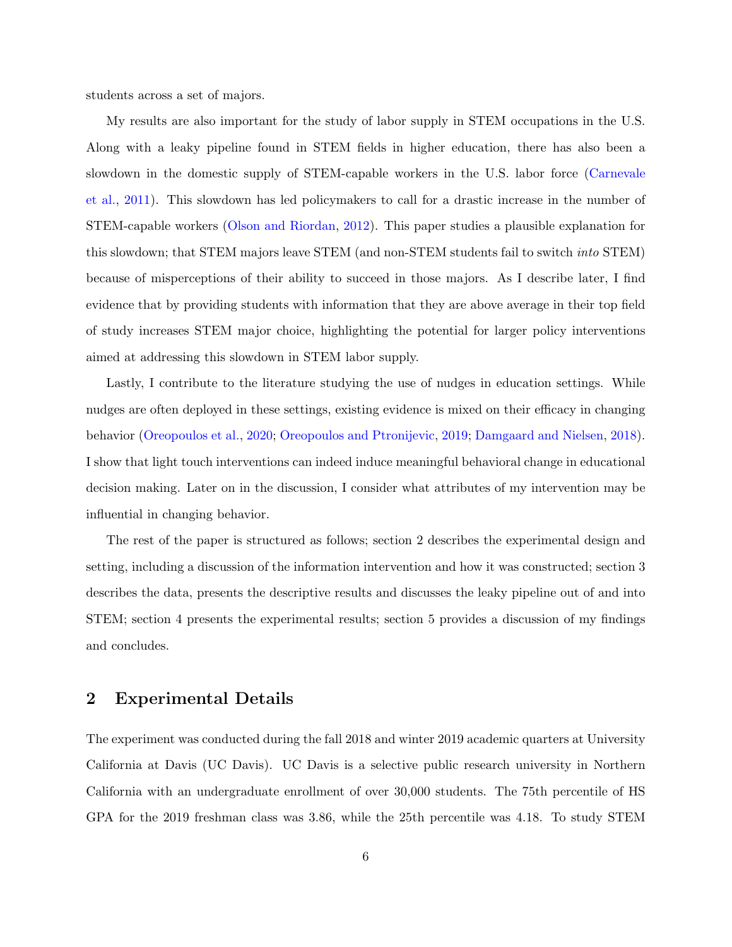students across a set of majors.

My results are also important for the study of labor supply in STEM occupations in the U.S. Along with a leaky pipeline found in STEM fields in higher education, there has also been a slowdown in the domestic supply of STEM-capable workers in the U.S. labor force [\(Carnevale](#page-26-11) [et al.,](#page-26-11) [2011\)](#page-26-11). This slowdown has led policymakers to call for a drastic increase in the number of STEM-capable workers [\(Olson and Riordan,](#page-27-0) [2012\)](#page-27-0). This paper studies a plausible explanation for this slowdown; that STEM majors leave STEM (and non-STEM students fail to switch into STEM) because of misperceptions of their ability to succeed in those majors. As I describe later, I find evidence that by providing students with information that they are above average in their top field of study increases STEM major choice, highlighting the potential for larger policy interventions aimed at addressing this slowdown in STEM labor supply.

Lastly, I contribute to the literature studying the use of nudges in education settings. While nudges are often deployed in these settings, existing evidence is mixed on their efficacy in changing behavior [\(Oreopoulos et al.,](#page-28-8) [2020;](#page-28-8) [Oreopoulos and Ptronijevic,](#page-28-9) [2019;](#page-28-9) [Damgaard and Nielsen,](#page-27-10) [2018\)](#page-27-10). I show that light touch interventions can indeed induce meaningful behavioral change in educational decision making. Later on in the discussion, I consider what attributes of my intervention may be influential in changing behavior.

The rest of the paper is structured as follows; section 2 describes the experimental design and setting, including a discussion of the information intervention and how it was constructed; section 3 describes the data, presents the descriptive results and discusses the leaky pipeline out of and into STEM; section 4 presents the experimental results; section 5 provides a discussion of my findings and concludes.

### 2 Experimental Details

The experiment was conducted during the fall 2018 and winter 2019 academic quarters at University California at Davis (UC Davis). UC Davis is a selective public research university in Northern California with an undergraduate enrollment of over 30,000 students. The 75th percentile of HS GPA for the 2019 freshman class was 3.86, while the 25th percentile was 4.18. To study STEM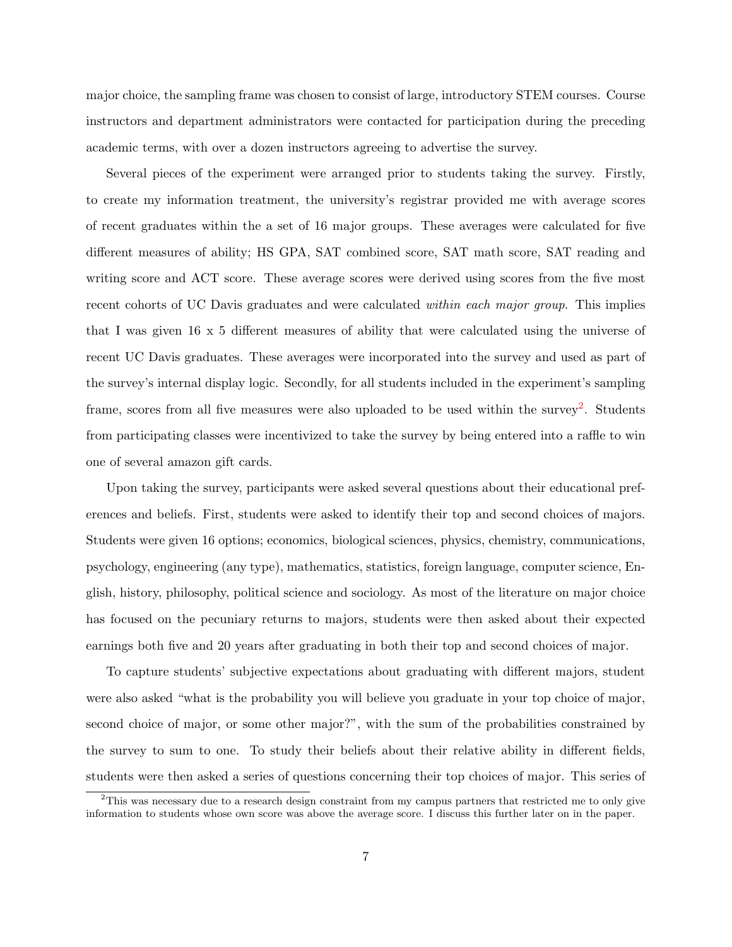major choice, the sampling frame was chosen to consist of large, introductory STEM courses. Course instructors and department administrators were contacted for participation during the preceding academic terms, with over a dozen instructors agreeing to advertise the survey.

Several pieces of the experiment were arranged prior to students taking the survey. Firstly, to create my information treatment, the university's registrar provided me with average scores of recent graduates within the a set of 16 major groups. These averages were calculated for five different measures of ability; HS GPA, SAT combined score, SAT math score, SAT reading and writing score and ACT score. These average scores were derived using scores from the five most recent cohorts of UC Davis graduates and were calculated *within each major group*. This implies that I was given 16 x 5 different measures of ability that were calculated using the universe of recent UC Davis graduates. These averages were incorporated into the survey and used as part of the survey's internal display logic. Secondly, for all students included in the experiment's sampling frame, scores from all five measures were also uploaded to be used within the survey<sup>[2](#page-7-0)</sup>. Students from participating classes were incentivized to take the survey by being entered into a raffle to win one of several amazon gift cards.

Upon taking the survey, participants were asked several questions about their educational preferences and beliefs. First, students were asked to identify their top and second choices of majors. Students were given 16 options; economics, biological sciences, physics, chemistry, communications, psychology, engineering (any type), mathematics, statistics, foreign language, computer science, English, history, philosophy, political science and sociology. As most of the literature on major choice has focused on the pecuniary returns to majors, students were then asked about their expected earnings both five and 20 years after graduating in both their top and second choices of major.

To capture students' subjective expectations about graduating with different majors, student were also asked "what is the probability you will believe you graduate in your top choice of major, second choice of major, or some other major?", with the sum of the probabilities constrained by the survey to sum to one. To study their beliefs about their relative ability in different fields, students were then asked a series of questions concerning their top choices of major. This series of

<span id="page-7-0"></span><sup>&</sup>lt;sup>2</sup>This was necessary due to a research design constraint from my campus partners that restricted me to only give information to students whose own score was above the average score. I discuss this further later on in the paper.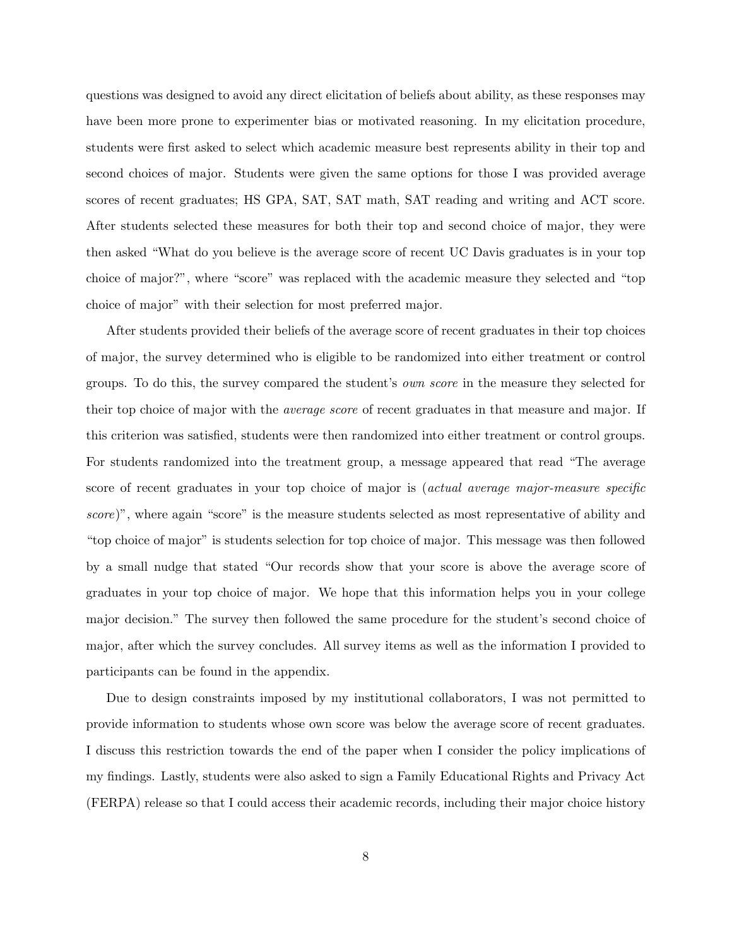questions was designed to avoid any direct elicitation of beliefs about ability, as these responses may have been more prone to experimenter bias or motivated reasoning. In my elicitation procedure, students were first asked to select which academic measure best represents ability in their top and second choices of major. Students were given the same options for those I was provided average scores of recent graduates; HS GPA, SAT, SAT math, SAT reading and writing and ACT score. After students selected these measures for both their top and second choice of major, they were then asked "What do you believe is the average score of recent UC Davis graduates is in your top choice of major?", where "score" was replaced with the academic measure they selected and "top choice of major" with their selection for most preferred major.

After students provided their beliefs of the average score of recent graduates in their top choices of major, the survey determined who is eligible to be randomized into either treatment or control groups. To do this, the survey compared the student's own score in the measure they selected for their top choice of major with the *average score* of recent graduates in that measure and major. If this criterion was satisfied, students were then randomized into either treatment or control groups. For students randomized into the treatment group, a message appeared that read "The average score of recent graduates in your top choice of major is *(actual average major-measure specific* score)", where again "score" is the measure students selected as most representative of ability and "top choice of major" is students selection for top choice of major. This message was then followed by a small nudge that stated "Our records show that your score is above the average score of graduates in your top choice of major. We hope that this information helps you in your college major decision." The survey then followed the same procedure for the student's second choice of major, after which the survey concludes. All survey items as well as the information I provided to participants can be found in the appendix.

Due to design constraints imposed by my institutional collaborators, I was not permitted to provide information to students whose own score was below the average score of recent graduates. I discuss this restriction towards the end of the paper when I consider the policy implications of my findings. Lastly, students were also asked to sign a Family Educational Rights and Privacy Act (FERPA) release so that I could access their academic records, including their major choice history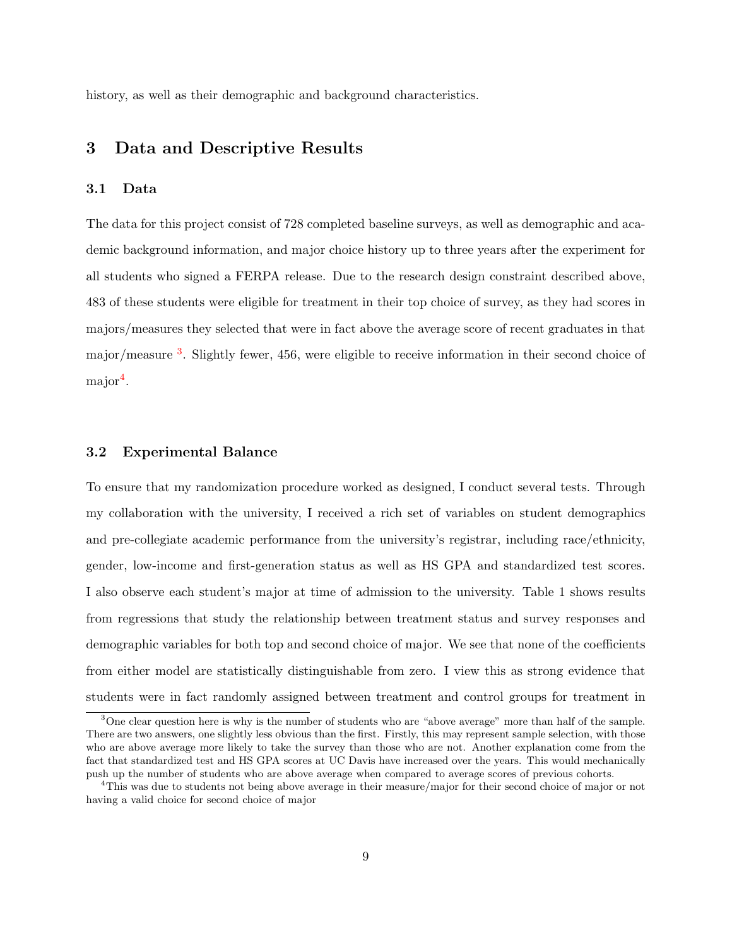history, as well as their demographic and background characteristics.

### 3 Data and Descriptive Results

#### 3.1 Data

The data for this project consist of 728 completed baseline surveys, as well as demographic and academic background information, and major choice history up to three years after the experiment for all students who signed a FERPA release. Due to the research design constraint described above, 483 of these students were eligible for treatment in their top choice of survey, as they had scores in majors/measures they selected that were in fact above the average score of recent graduates in that major/measure <sup>[3](#page-9-0)</sup>. Slightly fewer, 456, were eligible to receive information in their second choice of major<sup>[4](#page-9-1)</sup>.

#### 3.2 Experimental Balance

To ensure that my randomization procedure worked as designed, I conduct several tests. Through my collaboration with the university, I received a rich set of variables on student demographics and pre-collegiate academic performance from the university's registrar, including race/ethnicity, gender, low-income and first-generation status as well as HS GPA and standardized test scores. I also observe each student's major at time of admission to the university. Table 1 shows results from regressions that study the relationship between treatment status and survey responses and demographic variables for both top and second choice of major. We see that none of the coefficients from either model are statistically distinguishable from zero. I view this as strong evidence that students were in fact randomly assigned between treatment and control groups for treatment in

<span id="page-9-0"></span><sup>&</sup>lt;sup>3</sup>One clear question here is why is the number of students who are "above average" more than half of the sample. There are two answers, one slightly less obvious than the first. Firstly, this may represent sample selection, with those who are above average more likely to take the survey than those who are not. Another explanation come from the fact that standardized test and HS GPA scores at UC Davis have increased over the years. This would mechanically push up the number of students who are above average when compared to average scores of previous cohorts.

<span id="page-9-1"></span><sup>&</sup>lt;sup>4</sup>This was due to students not being above average in their measure/major for their second choice of major or not having a valid choice for second choice of major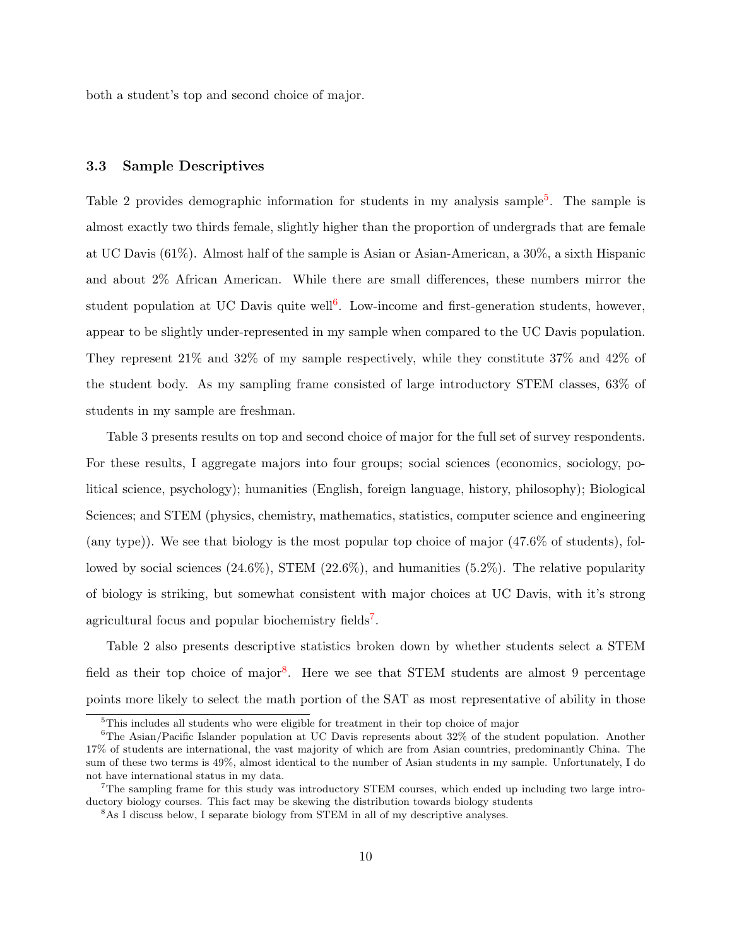both a student's top and second choice of major.

#### 3.3 Sample Descriptives

Table 2 provides demographic information for students in my analysis sample<sup>[5](#page-10-0)</sup>. The sample is almost exactly two thirds female, slightly higher than the proportion of undergrads that are female at UC Davis (61%). Almost half of the sample is Asian or Asian-American, a 30%, a sixth Hispanic and about 2% African American. While there are small differences, these numbers mirror the student population at UC Davis quite well<sup>[6](#page-10-1)</sup>. Low-income and first-generation students, however, appear to be slightly under-represented in my sample when compared to the UC Davis population. They represent 21% and 32% of my sample respectively, while they constitute 37% and 42% of the student body. As my sampling frame consisted of large introductory STEM classes, 63% of students in my sample are freshman.

Table 3 presents results on top and second choice of major for the full set of survey respondents. For these results, I aggregate majors into four groups; social sciences (economics, sociology, political science, psychology); humanities (English, foreign language, history, philosophy); Biological Sciences; and STEM (physics, chemistry, mathematics, statistics, computer science and engineering (any type)). We see that biology is the most popular top choice of major (47.6% of students), followed by social sciences  $(24.6\%)$ , STEM  $(22.6\%)$ , and humanities  $(5.2\%)$ . The relative popularity of biology is striking, but somewhat consistent with major choices at UC Davis, with it's strong agricultural focus and popular biochemistry fields<sup>[7](#page-10-2)</sup>.

Table 2 also presents descriptive statistics broken down by whether students select a STEM field as their top choice of major<sup>[8](#page-10-3)</sup>. Here we see that STEM students are almost 9 percentage points more likely to select the math portion of the SAT as most representative of ability in those

<span id="page-10-1"></span><span id="page-10-0"></span><sup>&</sup>lt;sup>5</sup>This includes all students who were eligible for treatment in their top choice of major

 $6$ The Asian/Pacific Islander population at UC Davis represents about 32% of the student population. Another 17% of students are international, the vast majority of which are from Asian countries, predominantly China. The sum of these two terms is 49%, almost identical to the number of Asian students in my sample. Unfortunately, I do not have international status in my data.

<span id="page-10-2"></span><sup>7</sup>The sampling frame for this study was introductory STEM courses, which ended up including two large introductory biology courses. This fact may be skewing the distribution towards biology students

<span id="page-10-3"></span><sup>8</sup>As I discuss below, I separate biology from STEM in all of my descriptive analyses.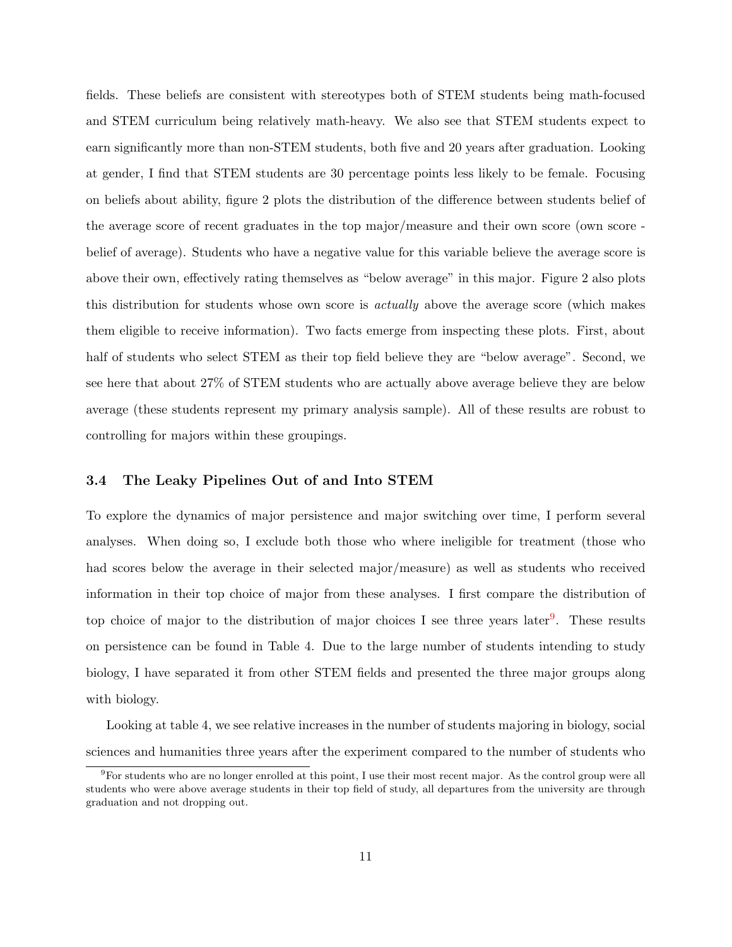fields. These beliefs are consistent with stereotypes both of STEM students being math-focused and STEM curriculum being relatively math-heavy. We also see that STEM students expect to earn significantly more than non-STEM students, both five and 20 years after graduation. Looking at gender, I find that STEM students are 30 percentage points less likely to be female. Focusing on beliefs about ability, figure 2 plots the distribution of the difference between students belief of the average score of recent graduates in the top major/measure and their own score (own score belief of average). Students who have a negative value for this variable believe the average score is above their own, effectively rating themselves as "below average" in this major. Figure 2 also plots this distribution for students whose own score is actually above the average score (which makes them eligible to receive information). Two facts emerge from inspecting these plots. First, about half of students who select STEM as their top field believe they are "below average". Second, we see here that about 27% of STEM students who are actually above average believe they are below average (these students represent my primary analysis sample). All of these results are robust to controlling for majors within these groupings.

#### 3.4 The Leaky Pipelines Out of and Into STEM

To explore the dynamics of major persistence and major switching over time, I perform several analyses. When doing so, I exclude both those who where ineligible for treatment (those who had scores below the average in their selected major/measure) as well as students who received information in their top choice of major from these analyses. I first compare the distribution of top choice of major to the distribution of major choices I see three years later<sup>[9](#page-11-0)</sup>. These results on persistence can be found in Table 4. Due to the large number of students intending to study biology, I have separated it from other STEM fields and presented the three major groups along with biology.

Looking at table 4, we see relative increases in the number of students majoring in biology, social sciences and humanities three years after the experiment compared to the number of students who

<span id="page-11-0"></span><sup>&</sup>lt;sup>9</sup>For students who are no longer enrolled at this point, I use their most recent major. As the control group were all students who were above average students in their top field of study, all departures from the university are through graduation and not dropping out.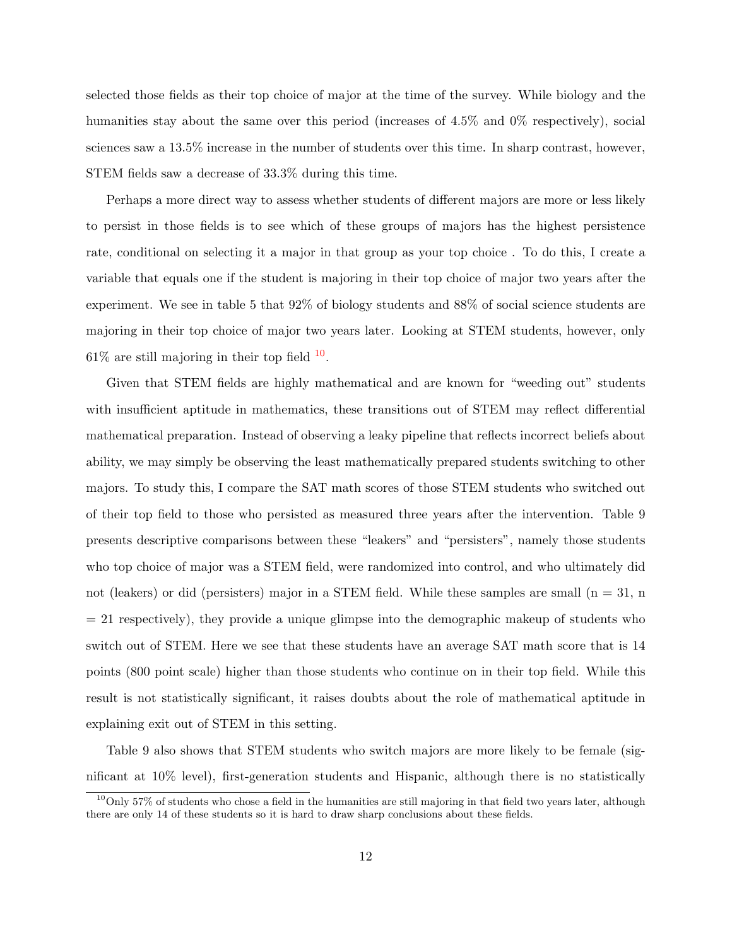selected those fields as their top choice of major at the time of the survey. While biology and the humanities stay about the same over this period (increases of 4.5% and 0% respectively), social sciences saw a 13.5% increase in the number of students over this time. In sharp contrast, however, STEM fields saw a decrease of 33.3% during this time.

Perhaps a more direct way to assess whether students of different majors are more or less likely to persist in those fields is to see which of these groups of majors has the highest persistence rate, conditional on selecting it a major in that group as your top choice . To do this, I create a variable that equals one if the student is majoring in their top choice of major two years after the experiment. We see in table 5 that 92% of biology students and 88% of social science students are majoring in their top choice of major two years later. Looking at STEM students, however, only  $61\%$  are still majoring in their top field  $10$ .

Given that STEM fields are highly mathematical and are known for "weeding out" students with insufficient aptitude in mathematics, these transitions out of STEM may reflect differential mathematical preparation. Instead of observing a leaky pipeline that reflects incorrect beliefs about ability, we may simply be observing the least mathematically prepared students switching to other majors. To study this, I compare the SAT math scores of those STEM students who switched out of their top field to those who persisted as measured three years after the intervention. Table 9 presents descriptive comparisons between these "leakers" and "persisters", namely those students who top choice of major was a STEM field, were randomized into control, and who ultimately did not (leakers) or did (persisters) major in a STEM field. While these samples are small  $(n = 31, n)$  $= 21$  respectively), they provide a unique glimpse into the demographic makeup of students who switch out of STEM. Here we see that these students have an average SAT math score that is 14 points (800 point scale) higher than those students who continue on in their top field. While this result is not statistically significant, it raises doubts about the role of mathematical aptitude in explaining exit out of STEM in this setting.

Table 9 also shows that STEM students who switch majors are more likely to be female (significant at 10% level), first-generation students and Hispanic, although there is no statistically

<span id="page-12-0"></span> $10$ Only 57% of students who chose a field in the humanities are still majoring in that field two years later, although there are only 14 of these students so it is hard to draw sharp conclusions about these fields.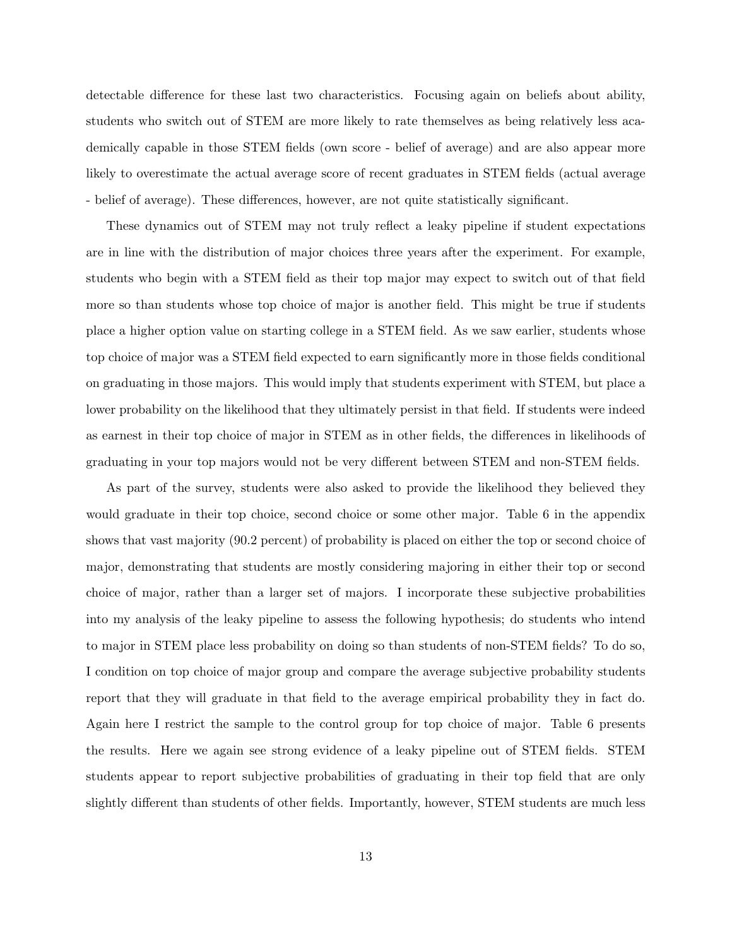detectable difference for these last two characteristics. Focusing again on beliefs about ability, students who switch out of STEM are more likely to rate themselves as being relatively less academically capable in those STEM fields (own score - belief of average) and are also appear more likely to overestimate the actual average score of recent graduates in STEM fields (actual average - belief of average). These differences, however, are not quite statistically significant.

These dynamics out of STEM may not truly reflect a leaky pipeline if student expectations are in line with the distribution of major choices three years after the experiment. For example, students who begin with a STEM field as their top major may expect to switch out of that field more so than students whose top choice of major is another field. This might be true if students place a higher option value on starting college in a STEM field. As we saw earlier, students whose top choice of major was a STEM field expected to earn significantly more in those fields conditional on graduating in those majors. This would imply that students experiment with STEM, but place a lower probability on the likelihood that they ultimately persist in that field. If students were indeed as earnest in their top choice of major in STEM as in other fields, the differences in likelihoods of graduating in your top majors would not be very different between STEM and non-STEM fields.

As part of the survey, students were also asked to provide the likelihood they believed they would graduate in their top choice, second choice or some other major. Table 6 in the appendix shows that vast majority (90.2 percent) of probability is placed on either the top or second choice of major, demonstrating that students are mostly considering majoring in either their top or second choice of major, rather than a larger set of majors. I incorporate these subjective probabilities into my analysis of the leaky pipeline to assess the following hypothesis; do students who intend to major in STEM place less probability on doing so than students of non-STEM fields? To do so, I condition on top choice of major group and compare the average subjective probability students report that they will graduate in that field to the average empirical probability they in fact do. Again here I restrict the sample to the control group for top choice of major. Table 6 presents the results. Here we again see strong evidence of a leaky pipeline out of STEM fields. STEM students appear to report subjective probabilities of graduating in their top field that are only slightly different than students of other fields. Importantly, however, STEM students are much less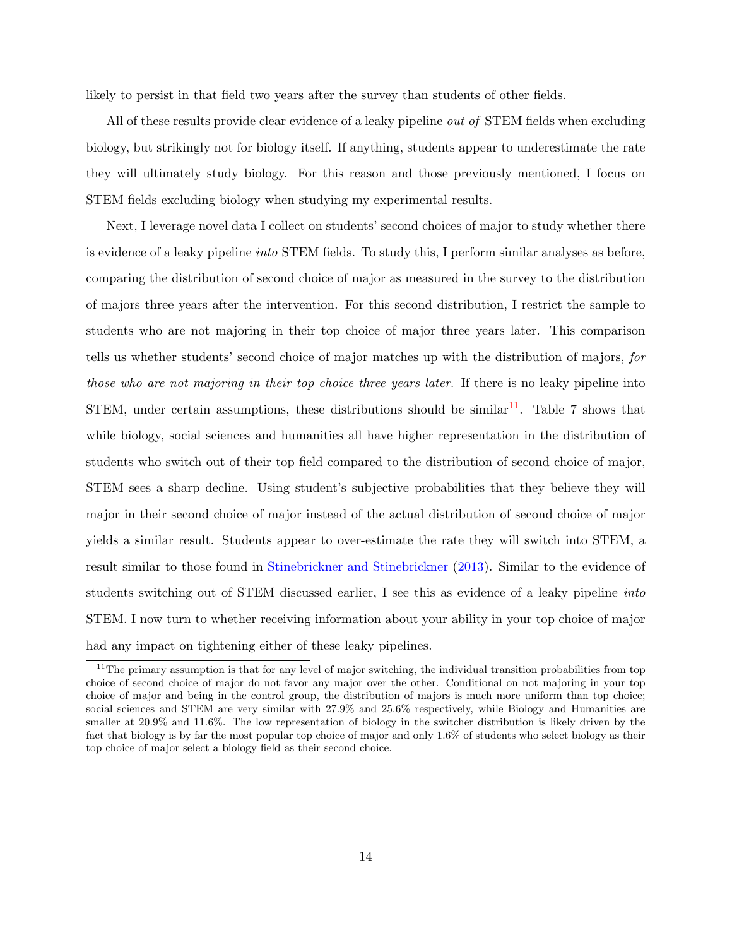likely to persist in that field two years after the survey than students of other fields.

All of these results provide clear evidence of a leaky pipeline out of STEM fields when excluding biology, but strikingly not for biology itself. If anything, students appear to underestimate the rate they will ultimately study biology. For this reason and those previously mentioned, I focus on STEM fields excluding biology when studying my experimental results.

Next, I leverage novel data I collect on students' second choices of major to study whether there is evidence of a leaky pipeline into STEM fields. To study this, I perform similar analyses as before, comparing the distribution of second choice of major as measured in the survey to the distribution of majors three years after the intervention. For this second distribution, I restrict the sample to students who are not majoring in their top choice of major three years later. This comparison tells us whether students' second choice of major matches up with the distribution of majors, for those who are not majoring in their top choice three years later. If there is no leaky pipeline into STEM, under certain assumptions, these distributions should be similar<sup>[11](#page-14-0)</sup>. Table 7 shows that while biology, social sciences and humanities all have higher representation in the distribution of students who switch out of their top field compared to the distribution of second choice of major, STEM sees a sharp decline. Using student's subjective probabilities that they believe they will major in their second choice of major instead of the actual distribution of second choice of major yields a similar result. Students appear to over-estimate the rate they will switch into STEM, a result similar to those found in [Stinebrickner and Stinebrickner](#page-28-1) [\(2013\)](#page-28-1). Similar to the evidence of students switching out of STEM discussed earlier, I see this as evidence of a leaky pipeline into STEM. I now turn to whether receiving information about your ability in your top choice of major had any impact on tightening either of these leaky pipelines.

<span id="page-14-0"></span><sup>&</sup>lt;sup>11</sup>The primary assumption is that for any level of major switching, the individual transition probabilities from top choice of second choice of major do not favor any major over the other. Conditional on not majoring in your top choice of major and being in the control group, the distribution of majors is much more uniform than top choice; social sciences and STEM are very similar with  $27.9\%$  and  $25.6\%$  respectively, while Biology and Humanities are smaller at 20.9% and 11.6%. The low representation of biology in the switcher distribution is likely driven by the fact that biology is by far the most popular top choice of major and only 1.6% of students who select biology as their top choice of major select a biology field as their second choice.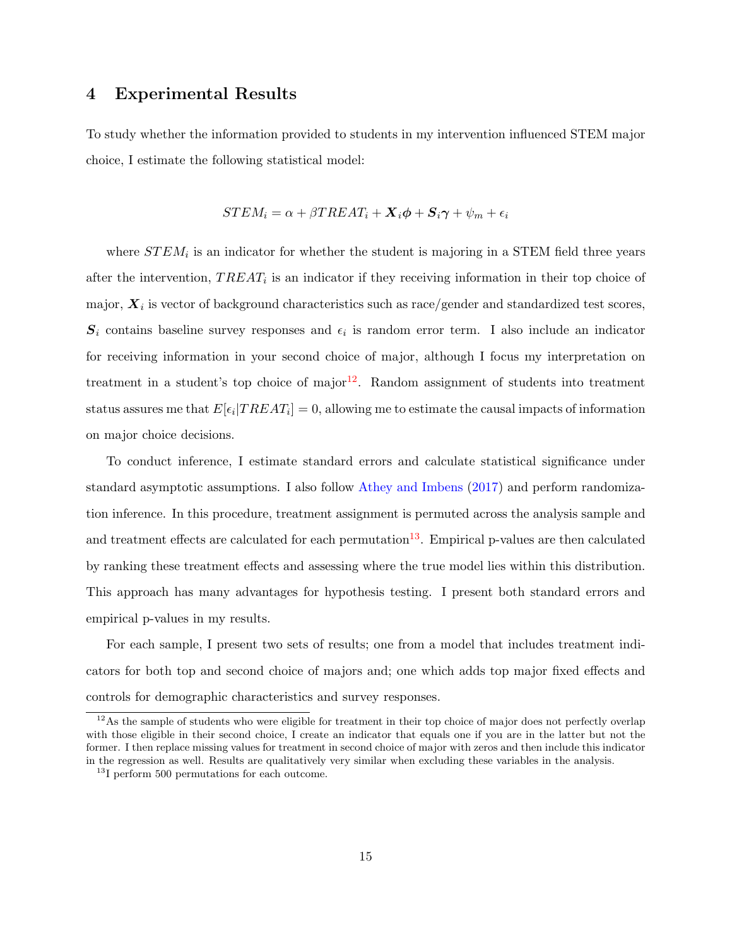## 4 Experimental Results

To study whether the information provided to students in my intervention influenced STEM major choice, I estimate the following statistical model:

$$
STEM_i = \alpha + \beta TREAT_i + \mathbf{X}_i \boldsymbol{\phi} + \mathbf{S}_i \boldsymbol{\gamma} + \psi_m + \epsilon_i
$$

where  $STEM_i$  is an indicator for whether the student is majoring in a STEM field three years after the intervention,  $TREAT_i$  is an indicator if they receiving information in their top choice of major,  $\boldsymbol{X}_i$  is vector of background characteristics such as race/gender and standardized test scores,  $S_i$  contains baseline survey responses and  $\epsilon_i$  is random error term. I also include an indicator for receiving information in your second choice of major, although I focus my interpretation on treatment in a student's top choice of major<sup>[12](#page-15-0)</sup>. Random assignment of students into treatment status assures me that  $E[\epsilon_i | TREAL_i] = 0$ , allowing me to estimate the causal impacts of information on major choice decisions.

To conduct inference, I estimate standard errors and calculate statistical significance under standard asymptotic assumptions. I also follow [Athey and Imbens](#page-25-4) [\(2017\)](#page-25-4) and perform randomization inference. In this procedure, treatment assignment is permuted across the analysis sample and and treatment effects are calculated for each permutation<sup>[13](#page-15-1)</sup>. Empirical p-values are then calculated by ranking these treatment effects and assessing where the true model lies within this distribution. This approach has many advantages for hypothesis testing. I present both standard errors and empirical p-values in my results.

For each sample, I present two sets of results; one from a model that includes treatment indicators for both top and second choice of majors and; one which adds top major fixed effects and controls for demographic characteristics and survey responses.

<span id="page-15-0"></span><sup>&</sup>lt;sup>12</sup>As the sample of students who were eligible for treatment in their top choice of major does not perfectly overlap with those eligible in their second choice, I create an indicator that equals one if you are in the latter but not the former. I then replace missing values for treatment in second choice of major with zeros and then include this indicator in the regression as well. Results are qualitatively very similar when excluding these variables in the analysis.

<span id="page-15-1"></span><sup>&</sup>lt;sup>13</sup>I perform 500 permutations for each outcome.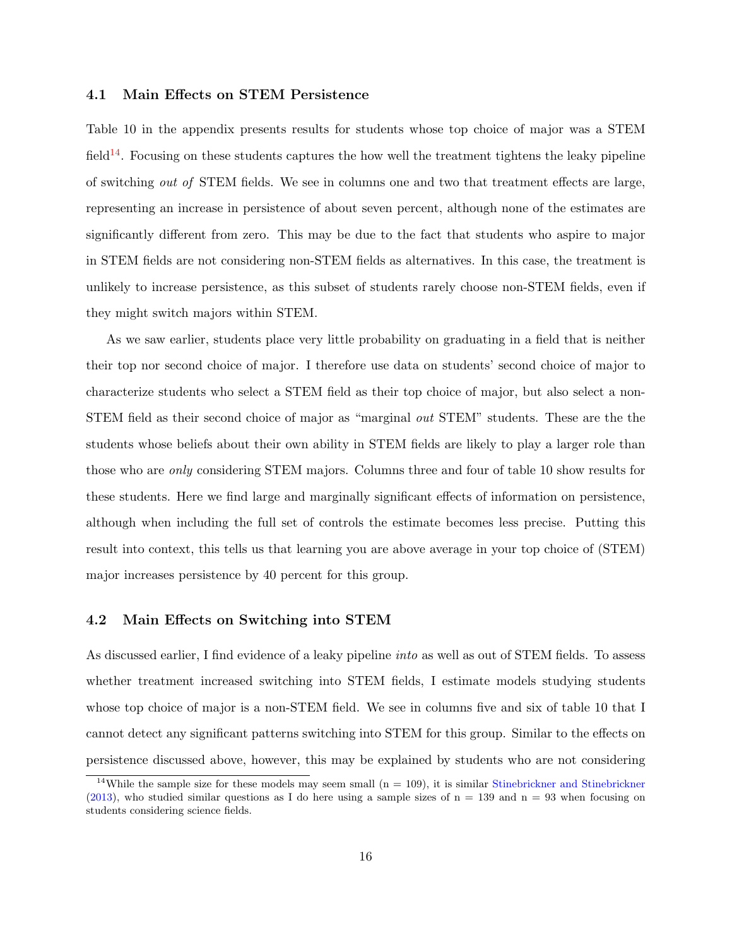#### 4.1 Main Effects on STEM Persistence

Table 10 in the appendix presents results for students whose top choice of major was a STEM field<sup>[14](#page-16-0)</sup>. Focusing on these students captures the how well the treatment tightens the leaky pipeline of switching out of STEM fields. We see in columns one and two that treatment effects are large, representing an increase in persistence of about seven percent, although none of the estimates are significantly different from zero. This may be due to the fact that students who aspire to major in STEM fields are not considering non-STEM fields as alternatives. In this case, the treatment is unlikely to increase persistence, as this subset of students rarely choose non-STEM fields, even if they might switch majors within STEM.

As we saw earlier, students place very little probability on graduating in a field that is neither their top nor second choice of major. I therefore use data on students' second choice of major to characterize students who select a STEM field as their top choice of major, but also select a non-STEM field as their second choice of major as "marginal out STEM" students. These are the the students whose beliefs about their own ability in STEM fields are likely to play a larger role than those who are only considering STEM majors. Columns three and four of table 10 show results for these students. Here we find large and marginally significant effects of information on persistence, although when including the full set of controls the estimate becomes less precise. Putting this result into context, this tells us that learning you are above average in your top choice of (STEM) major increases persistence by 40 percent for this group.

#### 4.2 Main Effects on Switching into STEM

As discussed earlier, I find evidence of a leaky pipeline into as well as out of STEM fields. To assess whether treatment increased switching into STEM fields, I estimate models studying students whose top choice of major is a non-STEM field. We see in columns five and six of table 10 that I cannot detect any significant patterns switching into STEM for this group. Similar to the effects on persistence discussed above, however, this may be explained by students who are not considering

<span id="page-16-0"></span><sup>&</sup>lt;sup>14</sup>While the sample size for these models may seem small  $(n = 109)$ , it is similar [Stinebrickner and Stinebrickner](#page-28-1) [\(2013\)](#page-28-1), who studied similar questions as I do here using a sample sizes of  $n = 139$  and  $n = 93$  when focusing on students considering science fields.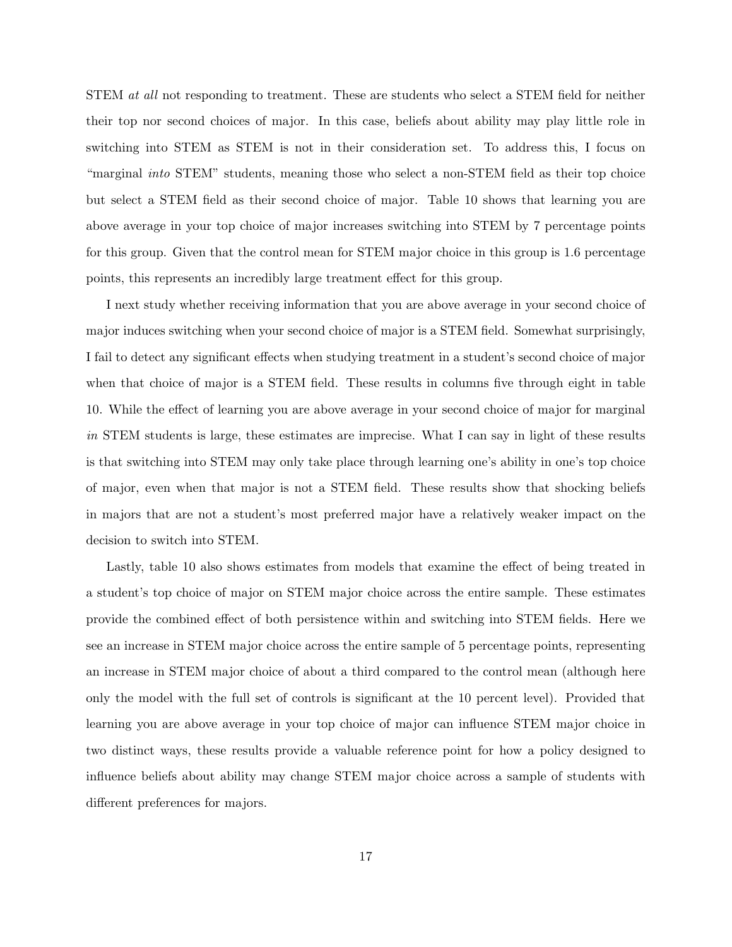STEM *at all* not responding to treatment. These are students who select a STEM field for neither their top nor second choices of major. In this case, beliefs about ability may play little role in switching into STEM as STEM is not in their consideration set. To address this, I focus on "marginal into STEM" students, meaning those who select a non-STEM field as their top choice but select a STEM field as their second choice of major. Table 10 shows that learning you are above average in your top choice of major increases switching into STEM by 7 percentage points for this group. Given that the control mean for STEM major choice in this group is 1.6 percentage points, this represents an incredibly large treatment effect for this group.

I next study whether receiving information that you are above average in your second choice of major induces switching when your second choice of major is a STEM field. Somewhat surprisingly, I fail to detect any significant effects when studying treatment in a student's second choice of major when that choice of major is a STEM field. These results in columns five through eight in table 10. While the effect of learning you are above average in your second choice of major for marginal in STEM students is large, these estimates are imprecise. What I can say in light of these results is that switching into STEM may only take place through learning one's ability in one's top choice of major, even when that major is not a STEM field. These results show that shocking beliefs in majors that are not a student's most preferred major have a relatively weaker impact on the decision to switch into STEM.

Lastly, table 10 also shows estimates from models that examine the effect of being treated in a student's top choice of major on STEM major choice across the entire sample. These estimates provide the combined effect of both persistence within and switching into STEM fields. Here we see an increase in STEM major choice across the entire sample of 5 percentage points, representing an increase in STEM major choice of about a third compared to the control mean (although here only the model with the full set of controls is significant at the 10 percent level). Provided that learning you are above average in your top choice of major can influence STEM major choice in two distinct ways, these results provide a valuable reference point for how a policy designed to influence beliefs about ability may change STEM major choice across a sample of students with different preferences for majors.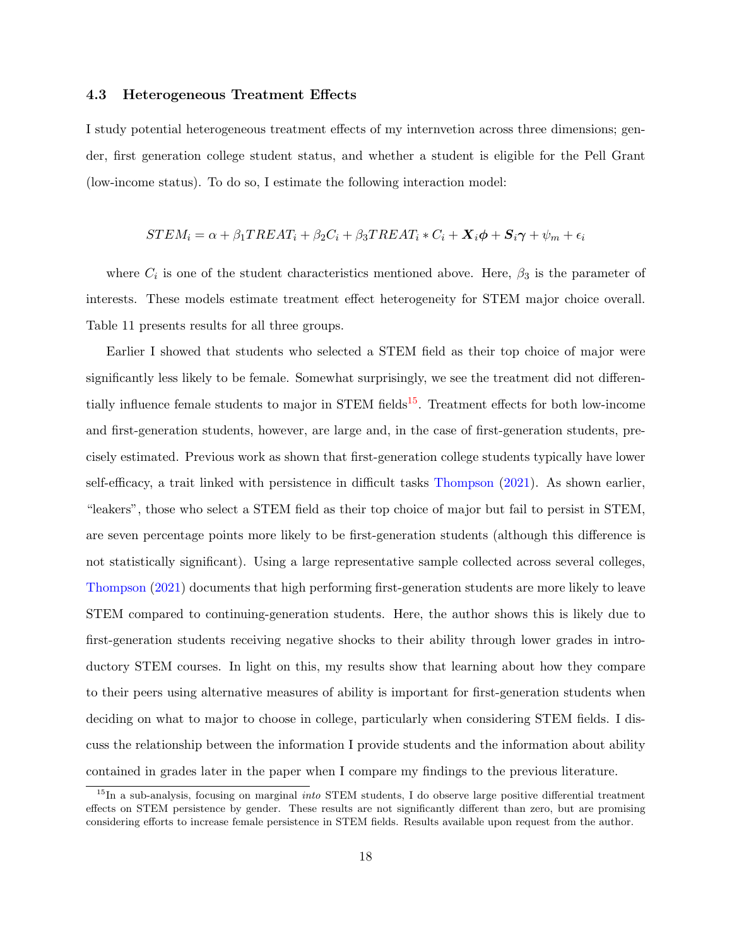#### 4.3 Heterogeneous Treatment Effects

I study potential heterogeneous treatment effects of my internvetion across three dimensions; gender, first generation college student status, and whether a student is eligible for the Pell Grant (low-income status). To do so, I estimate the following interaction model:

$$
STEM_i = \alpha + \beta_1 TREAT_i + \beta_2 C_i + \beta_3 TREAT_i * C_i + \mathbf{X}_i \phi + \mathbf{S}_i \gamma + \psi_m + \epsilon_i
$$

where  $C_i$  is one of the student characteristics mentioned above. Here,  $\beta_3$  is the parameter of interests. These models estimate treatment effect heterogeneity for STEM major choice overall. Table 11 presents results for all three groups.

Earlier I showed that students who selected a STEM field as their top choice of major were significantly less likely to be female. Somewhat surprisingly, we see the treatment did not differen-tially influence female students to major in STEM fields<sup>[15](#page-18-0)</sup>. Treatment effects for both low-income and first-generation students, however, are large and, in the case of first-generation students, precisely estimated. Previous work as shown that first-generation college students typically have lower self-efficacy, a trait linked with persistence in difficult tasks [Thompson](#page-28-10) [\(2021\)](#page-28-10). As shown earlier, "leakers", those who select a STEM field as their top choice of major but fail to persist in STEM, are seven percentage points more likely to be first-generation students (although this difference is not statistically significant). Using a large representative sample collected across several colleges, [Thompson](#page-28-10) [\(2021\)](#page-28-10) documents that high performing first-generation students are more likely to leave STEM compared to continuing-generation students. Here, the author shows this is likely due to first-generation students receiving negative shocks to their ability through lower grades in introductory STEM courses. In light on this, my results show that learning about how they compare to their peers using alternative measures of ability is important for first-generation students when deciding on what to major to choose in college, particularly when considering STEM fields. I discuss the relationship between the information I provide students and the information about ability contained in grades later in the paper when I compare my findings to the previous literature.

<span id="page-18-0"></span> $15$ In a sub-analysis, focusing on marginal *into* STEM students, I do observe large positive differential treatment effects on STEM persistence by gender. These results are not significantly different than zero, but are promising considering efforts to increase female persistence in STEM fields. Results available upon request from the author.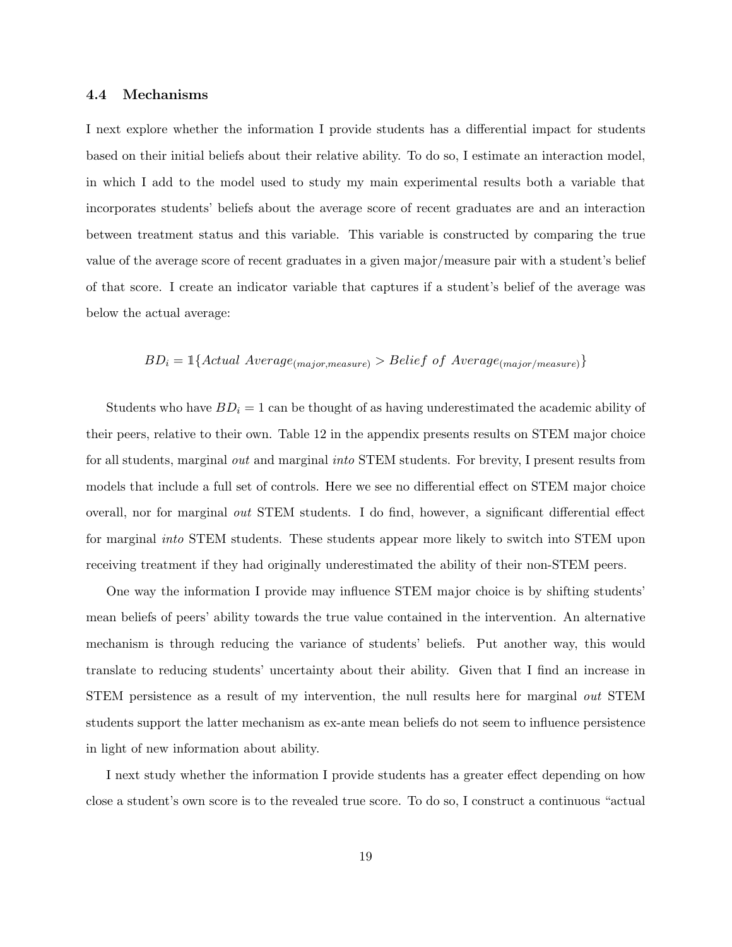#### 4.4 Mechanisms

I next explore whether the information I provide students has a differential impact for students based on their initial beliefs about their relative ability. To do so, I estimate an interaction model, in which I add to the model used to study my main experimental results both a variable that incorporates students' beliefs about the average score of recent graduates are and an interaction between treatment status and this variable. This variable is constructed by comparing the true value of the average score of recent graduates in a given major/measure pair with a student's belief of that score. I create an indicator variable that captures if a student's belief of the average was below the actual average:

# $BD_i = \mathbb{1}\{Actual \ Average_{(major, measure)} > Belief \ of \ Average_{(major/measure)}\}$

Students who have  $BD_i = 1$  can be thought of as having underestimated the academic ability of their peers, relative to their own. Table 12 in the appendix presents results on STEM major choice for all students, marginal *out* and marginal *into* STEM students. For brevity, I present results from models that include a full set of controls. Here we see no differential effect on STEM major choice overall, nor for marginal out STEM students. I do find, however, a significant differential effect for marginal into STEM students. These students appear more likely to switch into STEM upon receiving treatment if they had originally underestimated the ability of their non-STEM peers.

One way the information I provide may influence STEM major choice is by shifting students' mean beliefs of peers' ability towards the true value contained in the intervention. An alternative mechanism is through reducing the variance of students' beliefs. Put another way, this would translate to reducing students' uncertainty about their ability. Given that I find an increase in STEM persistence as a result of my intervention, the null results here for marginal out STEM students support the latter mechanism as ex-ante mean beliefs do not seem to influence persistence in light of new information about ability.

I next study whether the information I provide students has a greater effect depending on how close a student's own score is to the revealed true score. To do so, I construct a continuous "actual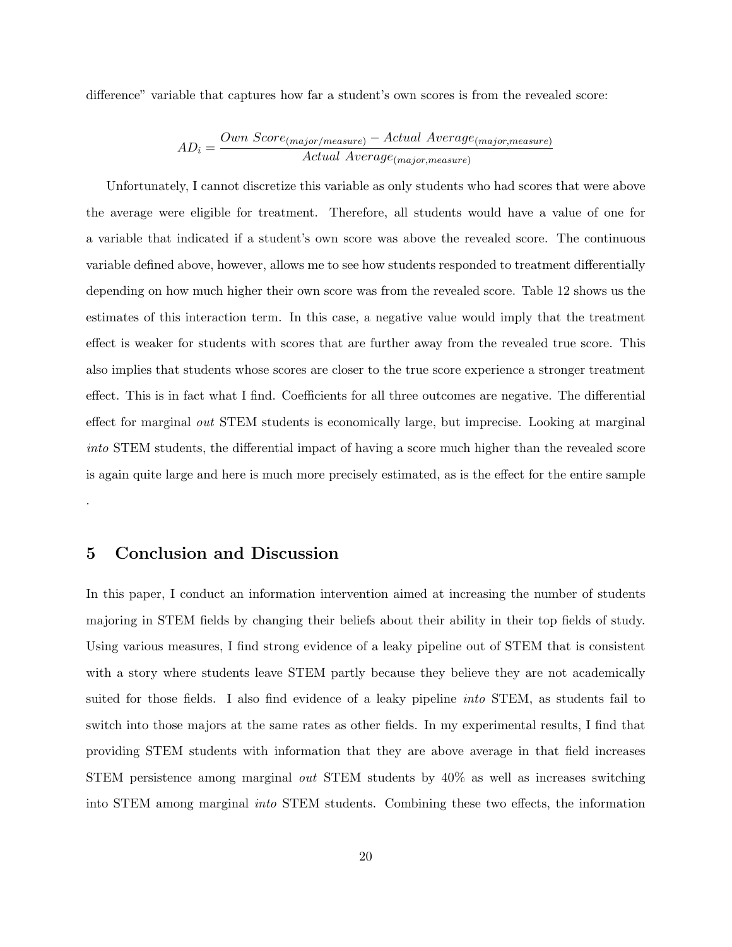difference" variable that captures how far a student's own scores is from the revealed score:

$$
AD_i = \frac{Own\ Score_{(major/measure)} - Actual\ Average_{(major, measure)}}{Actual\ Average_{(major, measure)}}
$$

Unfortunately, I cannot discretize this variable as only students who had scores that were above the average were eligible for treatment. Therefore, all students would have a value of one for a variable that indicated if a student's own score was above the revealed score. The continuous variable defined above, however, allows me to see how students responded to treatment differentially depending on how much higher their own score was from the revealed score. Table 12 shows us the estimates of this interaction term. In this case, a negative value would imply that the treatment effect is weaker for students with scores that are further away from the revealed true score. This also implies that students whose scores are closer to the true score experience a stronger treatment effect. This is in fact what I find. Coefficients for all three outcomes are negative. The differential effect for marginal out STEM students is economically large, but imprecise. Looking at marginal into STEM students, the differential impact of having a score much higher than the revealed score is again quite large and here is much more precisely estimated, as is the effect for the entire sample

### 5 Conclusion and Discussion

.

In this paper, I conduct an information intervention aimed at increasing the number of students majoring in STEM fields by changing their beliefs about their ability in their top fields of study. Using various measures, I find strong evidence of a leaky pipeline out of STEM that is consistent with a story where students leave STEM partly because they believe they are not academically suited for those fields. I also find evidence of a leaky pipeline into STEM, as students fail to switch into those majors at the same rates as other fields. In my experimental results, I find that providing STEM students with information that they are above average in that field increases STEM persistence among marginal out STEM students by 40% as well as increases switching into STEM among marginal into STEM students. Combining these two effects, the information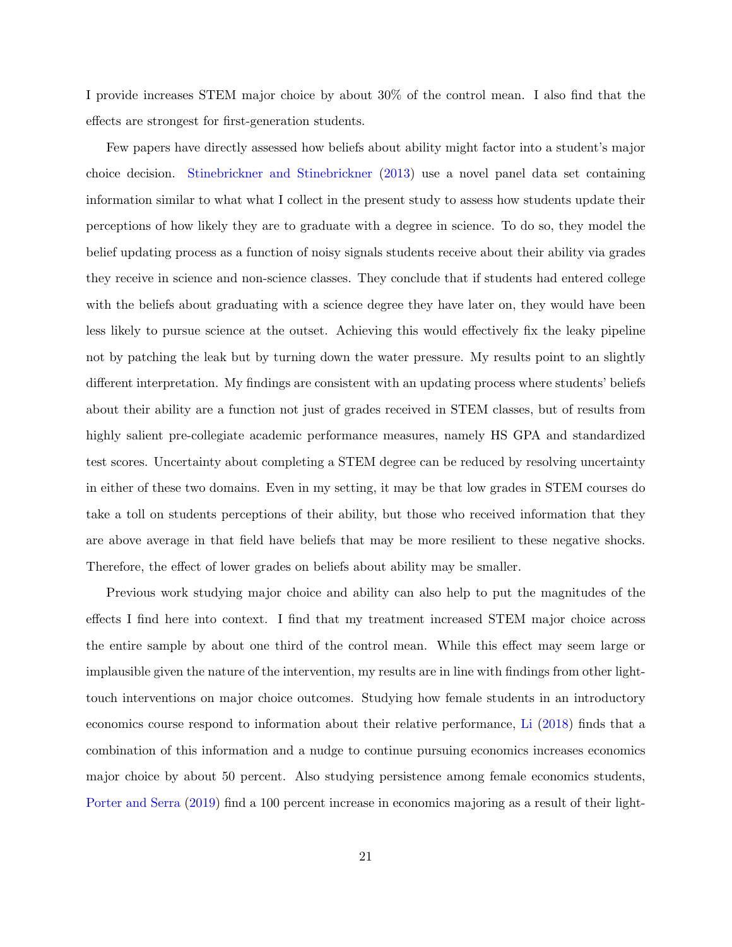I provide increases STEM major choice by about 30% of the control mean. I also find that the effects are strongest for first-generation students.

Few papers have directly assessed how beliefs about ability might factor into a student's major choice decision. [Stinebrickner and Stinebrickner](#page-28-1) [\(2013\)](#page-28-1) use a novel panel data set containing information similar to what what I collect in the present study to assess how students update their perceptions of how likely they are to graduate with a degree in science. To do so, they model the belief updating process as a function of noisy signals students receive about their ability via grades they receive in science and non-science classes. They conclude that if students had entered college with the beliefs about graduating with a science degree they have later on, they would have been less likely to pursue science at the outset. Achieving this would effectively fix the leaky pipeline not by patching the leak but by turning down the water pressure. My results point to an slightly different interpretation. My findings are consistent with an updating process where students' beliefs about their ability are a function not just of grades received in STEM classes, but of results from highly salient pre-collegiate academic performance measures, namely HS GPA and standardized test scores. Uncertainty about completing a STEM degree can be reduced by resolving uncertainty in either of these two domains. Even in my setting, it may be that low grades in STEM courses do take a toll on students perceptions of their ability, but those who received information that they are above average in that field have beliefs that may be more resilient to these negative shocks. Therefore, the effect of lower grades on beliefs about ability may be smaller.

Previous work studying major choice and ability can also help to put the magnitudes of the effects I find here into context. I find that my treatment increased STEM major choice across the entire sample by about one third of the control mean. While this effect may seem large or implausible given the nature of the intervention, my results are in line with findings from other lighttouch interventions on major choice outcomes. Studying how female students in an introductory economics course respond to information about their relative performance, [Li](#page-27-2) [\(2018\)](#page-27-2) finds that a combination of this information and a nudge to continue pursuing economics increases economics major choice by about 50 percent. Also studying persistence among female economics students, [Porter and Serra](#page-28-6) [\(2019\)](#page-28-6) find a 100 percent increase in economics majoring as a result of their light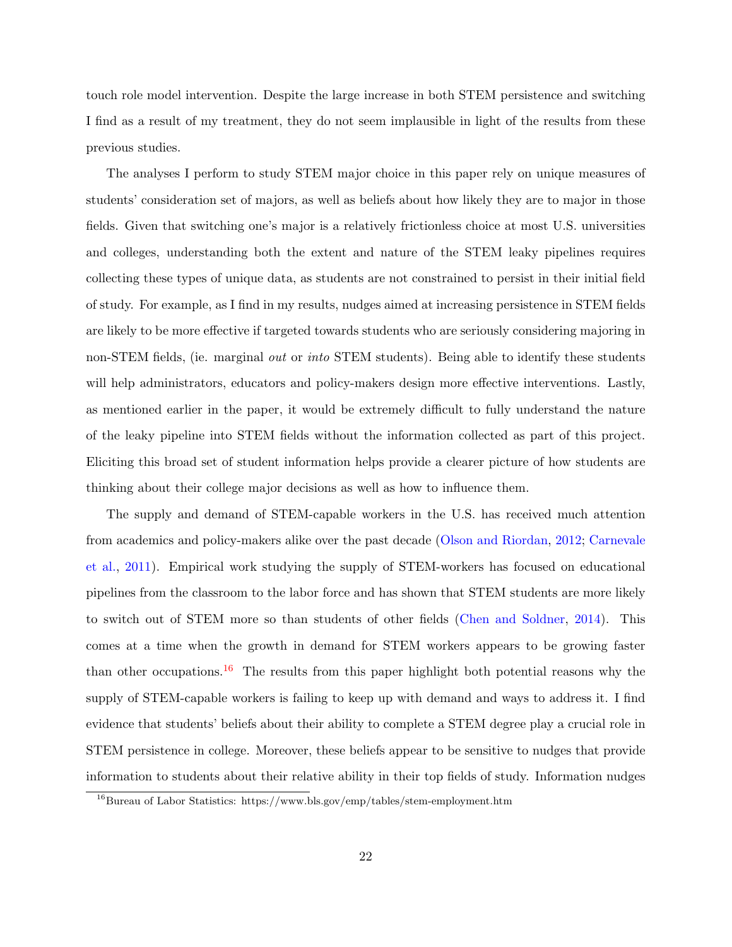touch role model intervention. Despite the large increase in both STEM persistence and switching I find as a result of my treatment, they do not seem implausible in light of the results from these previous studies.

The analyses I perform to study STEM major choice in this paper rely on unique measures of students' consideration set of majors, as well as beliefs about how likely they are to major in those fields. Given that switching one's major is a relatively frictionless choice at most U.S. universities and colleges, understanding both the extent and nature of the STEM leaky pipelines requires collecting these types of unique data, as students are not constrained to persist in their initial field of study. For example, as I find in my results, nudges aimed at increasing persistence in STEM fields are likely to be more effective if targeted towards students who are seriously considering majoring in non-STEM fields, (ie. marginal *out* or *into* STEM students). Being able to identify these students will help administrators, educators and policy-makers design more effective interventions. Lastly, as mentioned earlier in the paper, it would be extremely difficult to fully understand the nature of the leaky pipeline into STEM fields without the information collected as part of this project. Eliciting this broad set of student information helps provide a clearer picture of how students are thinking about their college major decisions as well as how to influence them.

The supply and demand of STEM-capable workers in the U.S. has received much attention from academics and policy-makers alike over the past decade [\(Olson and Riordan,](#page-27-0) [2012;](#page-27-0) [Carnevale](#page-26-11) [et al.,](#page-26-11) [2011\)](#page-26-11). Empirical work studying the supply of STEM-workers has focused on educational pipelines from the classroom to the labor force and has shown that STEM students are more likely to switch out of STEM more so than students of other fields [\(Chen and Soldner,](#page-26-0) [2014\)](#page-26-0). This comes at a time when the growth in demand for STEM workers appears to be growing faster than other occupations.<sup>[16](#page-22-0)</sup> The results from this paper highlight both potential reasons why the supply of STEM-capable workers is failing to keep up with demand and ways to address it. I find evidence that students' beliefs about their ability to complete a STEM degree play a crucial role in STEM persistence in college. Moreover, these beliefs appear to be sensitive to nudges that provide information to students about their relative ability in their top fields of study. Information nudges

<span id="page-22-0"></span> $16$ Bureau of Labor Statistics: https://www.bls.gov/emp/tables/stem-employment.htm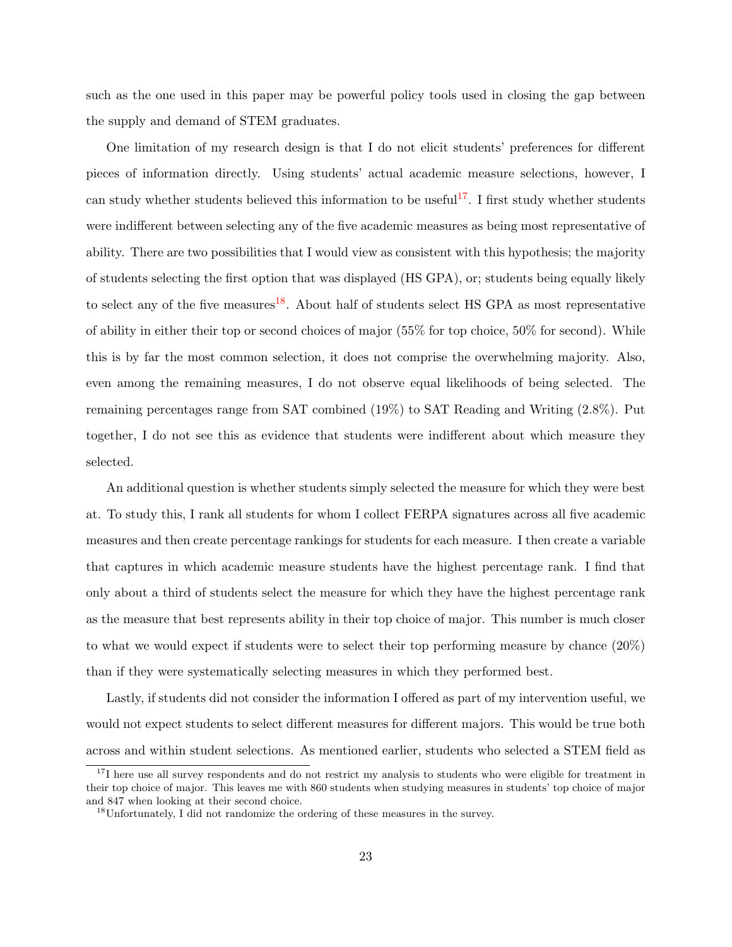such as the one used in this paper may be powerful policy tools used in closing the gap between the supply and demand of STEM graduates.

One limitation of my research design is that I do not elicit students' preferences for different pieces of information directly. Using students' actual academic measure selections, however, I can study whether students believed this information to be useful<sup>[17](#page-23-0)</sup>. I first study whether students were indifferent between selecting any of the five academic measures as being most representative of ability. There are two possibilities that I would view as consistent with this hypothesis; the majority of students selecting the first option that was displayed (HS GPA), or; students being equally likely to select any of the five measures<sup>[18](#page-23-1)</sup>. About half of students select HS GPA as most representative of ability in either their top or second choices of major (55% for top choice, 50% for second). While this is by far the most common selection, it does not comprise the overwhelming majority. Also, even among the remaining measures, I do not observe equal likelihoods of being selected. The remaining percentages range from SAT combined (19%) to SAT Reading and Writing (2.8%). Put together, I do not see this as evidence that students were indifferent about which measure they selected.

An additional question is whether students simply selected the measure for which they were best at. To study this, I rank all students for whom I collect FERPA signatures across all five academic measures and then create percentage rankings for students for each measure. I then create a variable that captures in which academic measure students have the highest percentage rank. I find that only about a third of students select the measure for which they have the highest percentage rank as the measure that best represents ability in their top choice of major. This number is much closer to what we would expect if students were to select their top performing measure by chance (20%) than if they were systematically selecting measures in which they performed best.

Lastly, if students did not consider the information I offered as part of my intervention useful, we would not expect students to select different measures for different majors. This would be true both across and within student selections. As mentioned earlier, students who selected a STEM field as

<span id="page-23-0"></span> $17$ I here use all survey respondents and do not restrict my analysis to students who were eligible for treatment in their top choice of major. This leaves me with 860 students when studying measures in students' top choice of major and 847 when looking at their second choice.

<span id="page-23-1"></span><sup>18</sup>Unfortunately, I did not randomize the ordering of these measures in the survey.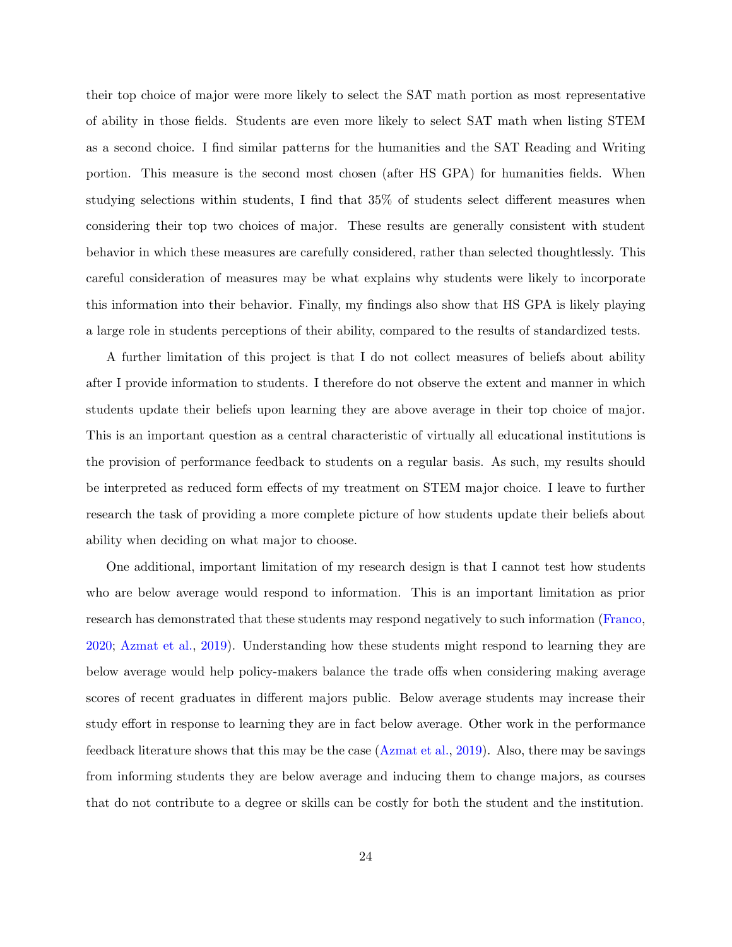their top choice of major were more likely to select the SAT math portion as most representative of ability in those fields. Students are even more likely to select SAT math when listing STEM as a second choice. I find similar patterns for the humanities and the SAT Reading and Writing portion. This measure is the second most chosen (after HS GPA) for humanities fields. When studying selections within students, I find that 35% of students select different measures when considering their top two choices of major. These results are generally consistent with student behavior in which these measures are carefully considered, rather than selected thoughtlessly. This careful consideration of measures may be what explains why students were likely to incorporate this information into their behavior. Finally, my findings also show that HS GPA is likely playing a large role in students perceptions of their ability, compared to the results of standardized tests.

A further limitation of this project is that I do not collect measures of beliefs about ability after I provide information to students. I therefore do not observe the extent and manner in which students update their beliefs upon learning they are above average in their top choice of major. This is an important question as a central characteristic of virtually all educational institutions is the provision of performance feedback to students on a regular basis. As such, my results should be interpreted as reduced form effects of my treatment on STEM major choice. I leave to further research the task of providing a more complete picture of how students update their beliefs about ability when deciding on what major to choose.

One additional, important limitation of my research design is that I cannot test how students who are below average would respond to information. This is an important limitation as prior research has demonstrated that these students may respond negatively to such information [\(Franco,](#page-27-11) [2020;](#page-27-11) [Azmat et al.,](#page-25-3) [2019\)](#page-25-3). Understanding how these students might respond to learning they are below average would help policy-makers balance the trade offs when considering making average scores of recent graduates in different majors public. Below average students may increase their study effort in response to learning they are in fact below average. Other work in the performance feedback literature shows that this may be the case [\(Azmat et al.,](#page-25-3) [2019\)](#page-25-3). Also, there may be savings from informing students they are below average and inducing them to change majors, as courses that do not contribute to a degree or skills can be costly for both the student and the institution.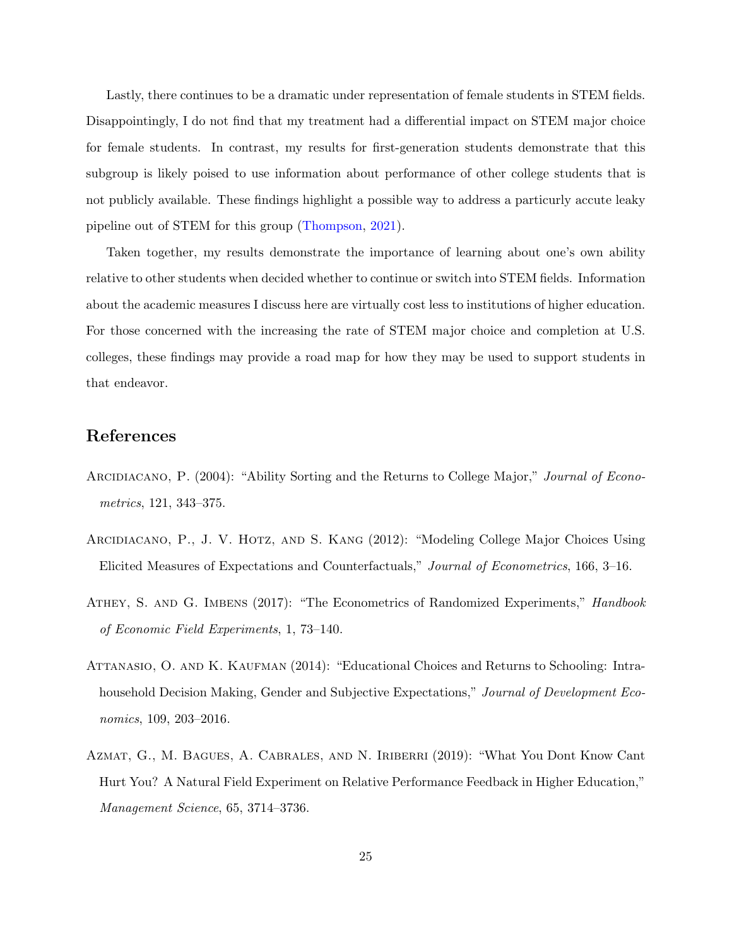Lastly, there continues to be a dramatic under representation of female students in STEM fields. Disappointingly, I do not find that my treatment had a differential impact on STEM major choice for female students. In contrast, my results for first-generation students demonstrate that this subgroup is likely poised to use information about performance of other college students that is not publicly available. These findings highlight a possible way to address a particurly accute leaky pipeline out of STEM for this group [\(Thompson,](#page-28-10) [2021\)](#page-28-10).

Taken together, my results demonstrate the importance of learning about one's own ability relative to other students when decided whether to continue or switch into STEM fields. Information about the academic measures I discuss here are virtually cost less to institutions of higher education. For those concerned with the increasing the rate of STEM major choice and completion at U.S. colleges, these findings may provide a road map for how they may be used to support students in that endeavor.

# References

- <span id="page-25-1"></span>ARCIDIACANO, P. (2004): "Ability Sorting and the Returns to College Major," Journal of Econometrics, 121, 343–375.
- <span id="page-25-0"></span>Arcidiacano, P., J. V. Hotz, and S. Kang (2012): "Modeling College Major Choices Using Elicited Measures of Expectations and Counterfactuals," Journal of Econometrics, 166, 3–16.
- <span id="page-25-4"></span>ATHEY, S. AND G. IMBENS (2017): "The Econometrics of Randomized Experiments," *Handbook* of Economic Field Experiments, 1, 73–140.
- <span id="page-25-2"></span>ATTANASIO, O. AND K. KAUFMAN (2014): "Educational Choices and Returns to Schooling: Intrahousehold Decision Making, Gender and Subjective Expectations," Journal of Development Economics, 109, 203–2016.
- <span id="page-25-3"></span>Azmat, G., M. Bagues, A. Cabrales, and N. Iriberri (2019): "What You Dont Know Cant Hurt You? A Natural Field Experiment on Relative Performance Feedback in Higher Education," Management Science, 65, 3714–3736.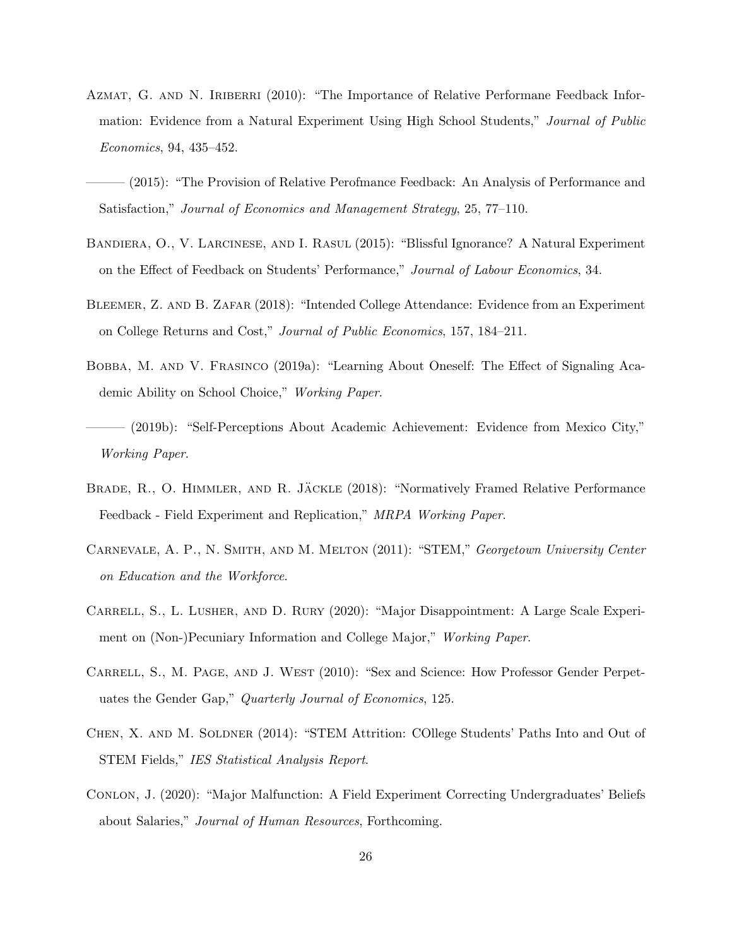- <span id="page-26-8"></span>AZMAT, G. AND N. IRIBERRI (2010): "The Importance of Relative Performane Feedback Information: Evidence from a Natural Experiment Using High School Students," Journal of Public Economics, 94, 435–452.
- <span id="page-26-7"></span>——— (2015): "The Provision of Relative Perofmance Feedback: An Analysis of Performance and Satisfaction," Journal of Economics and Management Strategy, 25, 77–110.
- <span id="page-26-9"></span>Bandiera, O., V. Larcinese, and I. Rasul (2015): "Blissful Ignorance? A Natural Experiment on the Effect of Feedback on Students' Performance," Journal of Labour Economics, 34.
- <span id="page-26-6"></span>Bleemer, Z. and B. Zafar (2018): "Intended College Attendance: Evidence from an Experiment on College Returns and Cost," Journal of Public Economics, 157, 184–211.
- <span id="page-26-4"></span>BOBBA, M. AND V. FRASINCO (2019a): "Learning About Oneself: The Effect of Signaling Academic Ability on School Choice," Working Paper.
- <span id="page-26-5"></span>(2019b): "Self-Perceptions About Academic Achievement: Evidence from Mexico City," Working Paper.
- <span id="page-26-10"></span>BRADE, R., O. HIMMLER, AND R. JÄCKLE (2018): "Normatively Framed Relative Performance Feedback - Field Experiment and Replication," MRPA Working Paper.
- <span id="page-26-11"></span>Carnevale, A. P., N. Smith, and M. Melton (2011): "STEM," Georgetown University Center on Education and the Workforce.
- <span id="page-26-2"></span>Carrell, S., L. Lusher, and D. Rury (2020): "Major Disappointment: A Large Scale Experiment on (Non-)Pecuniary Information and College Major," Working Paper.
- <span id="page-26-3"></span>CARRELL, S., M. PAGE, AND J. WEST (2010): "Sex and Science: How Professor Gender Perpetuates the Gender Gap," Quarterly Journal of Economics, 125.
- <span id="page-26-0"></span>Chen, X. and M. Soldner (2014): "STEM Attrition: COllege Students' Paths Into and Out of STEM Fields," IES Statistical Analysis Report.
- <span id="page-26-1"></span>CONLON, J. (2020): "Major Malfunction: A Field Experiment Correcting Undergraduates' Beliefs about Salaries," Journal of Human Resources, Forthcoming.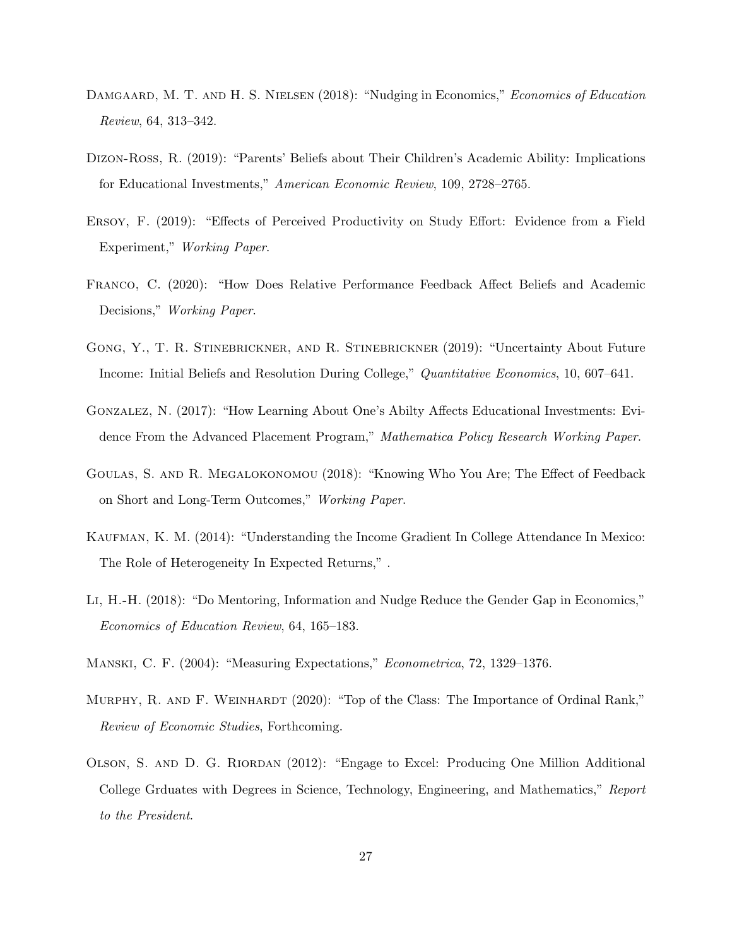- <span id="page-27-10"></span>DAMGAARD, M. T. AND H. S. NIELSEN (2018): "Nudging in Economics," Economics of Education Review, 64, 313–342.
- <span id="page-27-3"></span>Dizon-Ross, R. (2019): "Parents' Beliefs about Their Children's Academic Ability: Implications for Educational Investments," American Economic Review, 109, 2728–2765.
- <span id="page-27-5"></span>Ersoy, F. (2019): "Effects of Perceived Productivity on Study Effort: Evidence from a Field Experiment," Working Paper.
- <span id="page-27-11"></span>Franco, C. (2020): "How Does Relative Performance Feedback Affect Beliefs and Academic Decisions," Working Paper.
- <span id="page-27-1"></span>Gong, Y., T. R. Stinebrickner, and R. Stinebrickner (2019): "Uncertainty About Future Income: Initial Beliefs and Resolution During College," Quantitative Economics, 10, 607–641.
- <span id="page-27-9"></span>Gonzalez, N. (2017): "How Learning About One's Abilty Affects Educational Investments: Evidence From the Advanced Placement Program," Mathematica Policy Research Working Paper.
- <span id="page-27-8"></span>Goulas, S. and R. Megalokonomou (2018): "Knowing Who You Are; The Effect of Feedback on Short and Long-Term Outcomes," Working Paper.
- <span id="page-27-4"></span>KAUFMAN, K. M. (2014): "Understanding the Income Gradient In College Attendance In Mexico: The Role of Heterogeneity In Expected Returns," .
- <span id="page-27-2"></span>Li, H.-H. (2018): "Do Mentoring, Information and Nudge Reduce the Gender Gap in Economics," Economics of Education Review, 64, 165–183.
- <span id="page-27-6"></span>Manski, C. F. (2004): "Measuring Expectations," Econometrica, 72, 1329–1376.
- <span id="page-27-7"></span>MURPHY, R. AND F. WEINHARDT (2020): "Top of the Class: The Importance of Ordinal Rank," Review of Economic Studies, Forthcoming.
- <span id="page-27-0"></span>Olson, S. and D. G. Riordan (2012): "Engage to Excel: Producing One Million Additional College Grduates with Degrees in Science, Technology, Engineering, and Mathematics," Report to the President.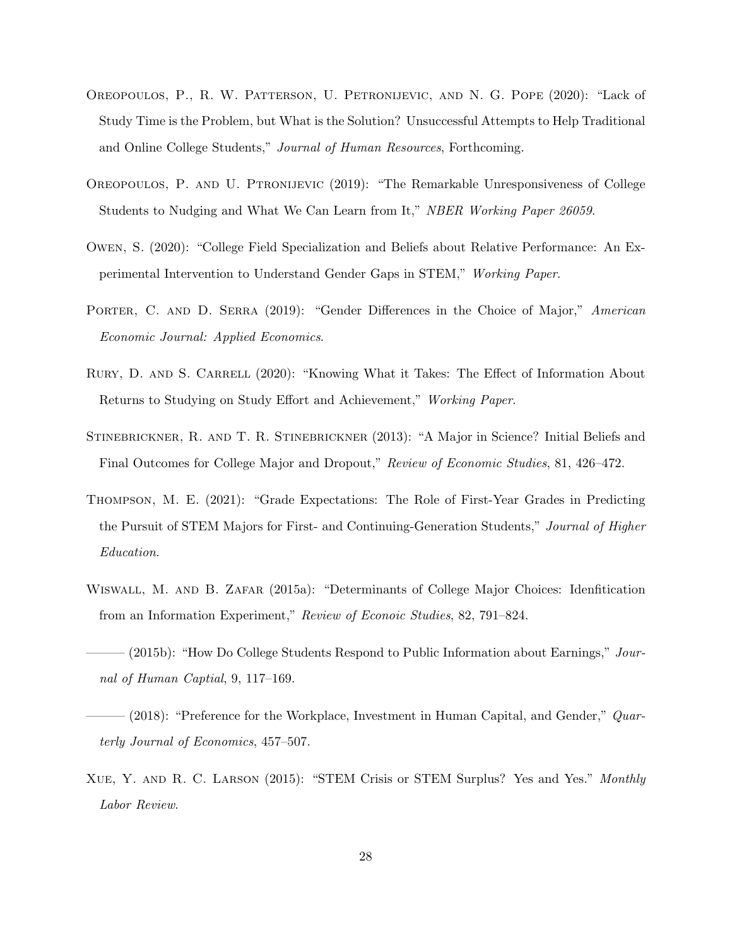- <span id="page-28-8"></span>Oreopoulos, P., R. W. Patterson, U. Petronijevic, and N. G. Pope (2020): "Lack of Study Time is the Problem, but What is the Solution? Unsuccessful Attempts to Help Traditional and Online College Students," Journal of Human Resources, Forthcoming.
- <span id="page-28-9"></span>Oreopoulos, P. and U. Ptronijevic (2019): "The Remarkable Unresponsiveness of College Students to Nudging and What We Can Learn from It," NBER Working Paper 26059.
- <span id="page-28-5"></span>Owen, S. (2020): "College Field Specialization and Beliefs about Relative Performance: An Experimental Intervention to Understand Gender Gaps in STEM," Working Paper.
- <span id="page-28-6"></span>PORTER, C. AND D. SERRA (2019): "Gender Differences in the Choice of Major," American Economic Journal: Applied Economics.
- <span id="page-28-7"></span>RURY, D. AND S. CARRELL (2020): "Knowing What it Takes: The Effect of Information About Returns to Studying on Study Effort and Achievement," Working Paper.
- <span id="page-28-1"></span>STINEBRICKNER, R. AND T. R. STINEBRICKNER (2013): "A Major in Science? Initial Beliefs and Final Outcomes for College Major and Dropout," Review of Economic Studies, 81, 426–472.
- <span id="page-28-10"></span>Thompson, M. E. (2021): "Grade Expectations: The Role of First-Year Grades in Predicting the Pursuit of STEM Majors for First- and Continuing-Generation Students," Journal of Higher Education.
- <span id="page-28-2"></span>Wiswall, M. and B. Zafar (2015a): "Determinants of College Major Choices: Idenfitication from an Information Experiment," Review of Econoic Studies, 82, 791–824.
- <span id="page-28-4"></span> $(2015b)$ : "How Do College Students Respond to Public Information about Earnings," Journal of Human Captial, 9, 117–169.
- <span id="page-28-3"></span> $(2018)$ : "Preference for the Workplace, Investment in Human Capital, and Gender," *Quar*terly Journal of Economics, 457–507.
- <span id="page-28-0"></span>Xue, Y. and R. C. Larson (2015): "STEM Crisis or STEM Surplus? Yes and Yes." Monthly Labor Review.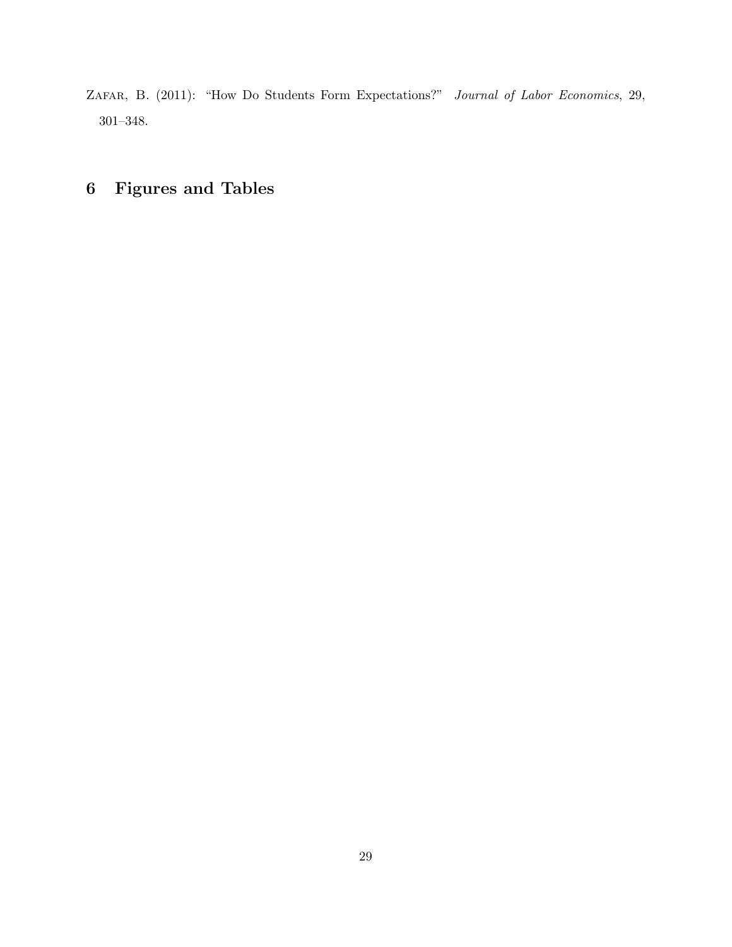<span id="page-29-0"></span>ZAFAR, B. (2011): "How Do Students Form Expectations?" Journal of Labor Economics, 29, 301–348.

# 6 Figures and Tables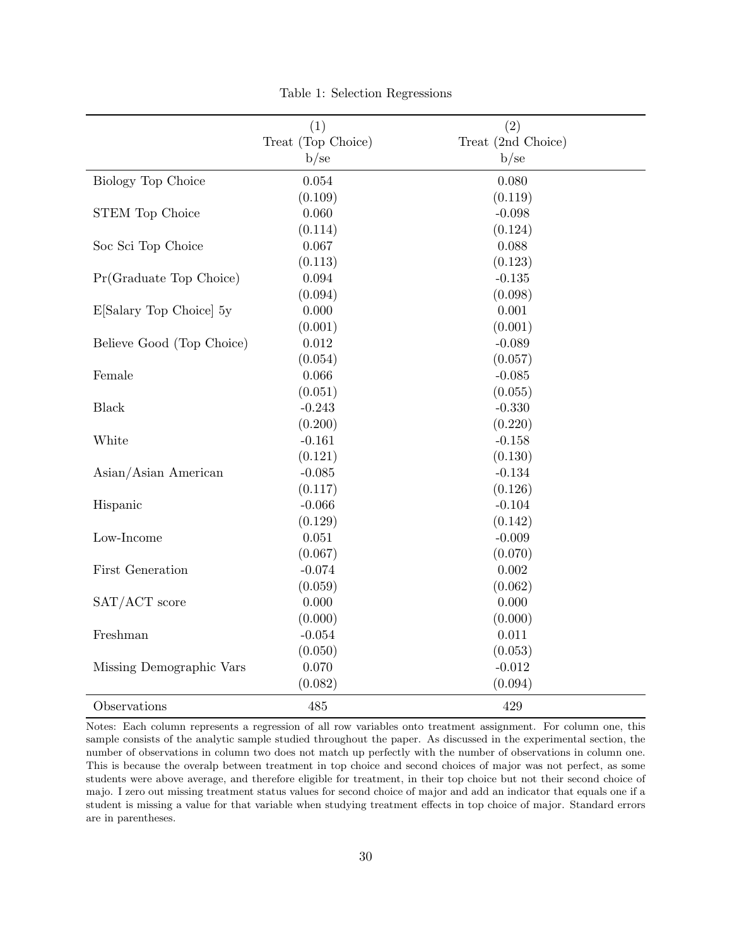|                           | (1)                | (2)                |
|---------------------------|--------------------|--------------------|
|                           | Treat (Top Choice) | Treat (2nd Choice) |
|                           | b/se               | b/se               |
| Biology Top Choice        | 0.054              | 0.080              |
|                           | (0.109)            | (0.119)            |
| <b>STEM Top Choice</b>    | 0.060              | $-0.098$           |
|                           | (0.114)            | (0.124)            |
| Soc Sci Top Choice        | 0.067              | 0.088              |
|                           | (0.113)            | (0.123)            |
| Pr(Graduate Top Choice)   | $\,0.094\,$        | $-0.135$           |
|                           | (0.094)            | (0.098)            |
| E[Salary Top Choice] 5y   | 0.000              | 0.001              |
|                           | (0.001)            | (0.001)            |
| Believe Good (Top Choice) | 0.012              | $-0.089$           |
|                           | (0.054)            | (0.057)            |
| Female                    | 0.066              | $-0.085$           |
|                           | (0.051)            | (0.055)            |
| <b>Black</b>              | $-0.243$           | $-0.330$           |
|                           | (0.200)            | (0.220)            |
| White                     | $-0.161$           | $-0.158$           |
|                           | (0.121)            | (0.130)            |
| Asian/Asian American      | $-0.085$           | $-0.134$           |
|                           | (0.117)            | (0.126)            |
| Hispanic                  | $-0.066$           | $-0.104$           |
|                           | (0.129)            | (0.142)            |
| Low-Income                | 0.051              | $-0.009$           |
|                           | (0.067)            | (0.070)            |
| First Generation          | $-0.074$           | 0.002              |
|                           | (0.059)            | (0.062)            |
| SAT/ACT score             | 0.000              | 0.000              |
|                           | (0.000)            | (0.000)            |
| Freshman                  | $-0.054$           | 0.011              |
|                           | (0.050)            | (0.053)            |
| Missing Demographic Vars  | 0.070              | $-0.012$           |
|                           | (0.082)            | (0.094)            |
| Observations              | 485                | 429                |

Table 1: Selection Regressions

Notes: Each column represents a regression of all row variables onto treatment assignment. For column one, this sample consists of the analytic sample studied throughout the paper. As discussed in the experimental section, the number of observations in column two does not match up perfectly with the number of observations in column one. This is because the overalp between treatment in top choice and second choices of major was not perfect, as some students were above average, and therefore eligible for treatment, in their top choice but not their second choice of majo. I zero out missing treatment status values for second choice of major and add an indicator that equals one if a student is missing a value for that variable when studying treatment effects in top choice of major. Standard errors are in parentheses.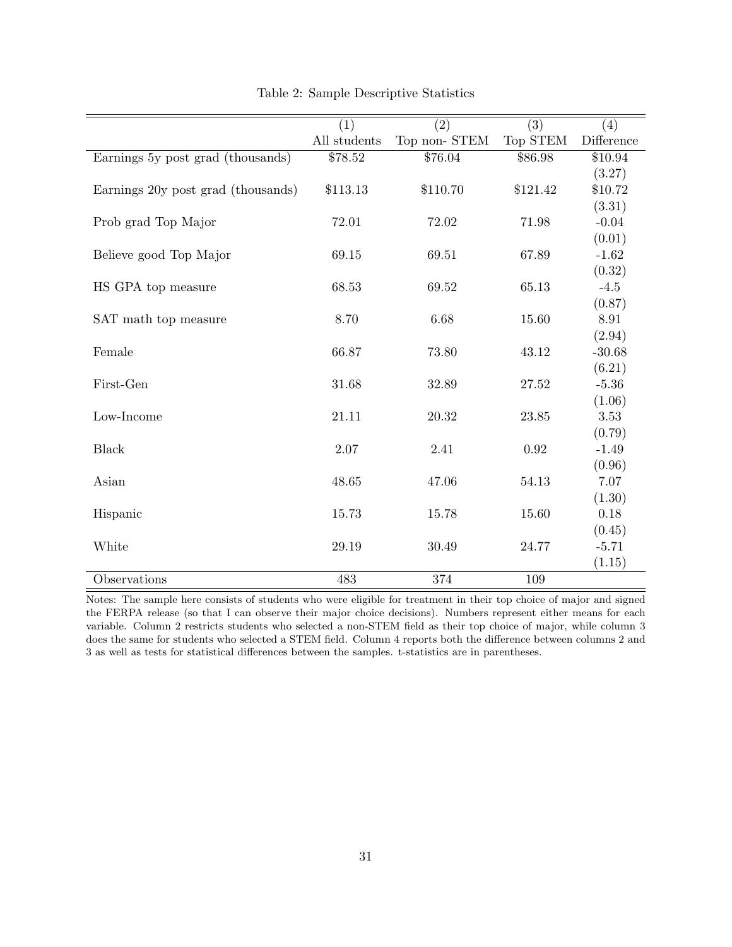|                                    | (1)          | $\overline{(2)}$ | $\overline{(3)}$ | (4)        |
|------------------------------------|--------------|------------------|------------------|------------|
|                                    | All students | Top non-STEM     | Top STEM         | Difference |
| Earnings 5y post grad (thousands)  | \$78.52      | \$76.04          | \$86.98          | \$10.94    |
|                                    |              |                  |                  | (3.27)     |
| Earnings 20y post grad (thousands) | \$113.13     | \$110.70         | \$121.42         | \$10.72    |
|                                    |              |                  |                  | (3.31)     |
| Prob grad Top Major                | 72.01        | 72.02            | 71.98            | $-0.04$    |
|                                    |              |                  |                  | (0.01)     |
| Believe good Top Major             | 69.15        | 69.51            | 67.89            | $-1.62$    |
|                                    |              |                  |                  | (0.32)     |
| HS GPA top measure                 | 68.53        | 69.52            | 65.13            | $-4.5$     |
|                                    |              |                  |                  | (0.87)     |
| SAT math top measure               | 8.70         | 6.68             | 15.60            | 8.91       |
|                                    |              |                  |                  | (2.94)     |
| Female                             | 66.87        | 73.80            | 43.12            | $-30.68$   |
|                                    |              |                  |                  | (6.21)     |
| First-Gen                          | 31.68        | 32.89            | 27.52            | $-5.36$    |
|                                    |              |                  |                  | (1.06)     |
| Low-Income                         | 21.11        | 20.32            | 23.85            | 3.53       |
|                                    |              |                  |                  | (0.79)     |
| <b>Black</b>                       | 2.07         | 2.41             | 0.92             | $-1.49$    |
|                                    |              |                  |                  | (0.96)     |
| Asian                              | 48.65        | 47.06            | 54.13            | 7.07       |
|                                    |              |                  |                  | (1.30)     |
| Hispanic                           | 15.73        | 15.78            | 15.60            | 0.18       |
|                                    |              |                  |                  | (0.45)     |
| White                              | 29.19        | 30.49            | 24.77            | $-5.71$    |
|                                    |              |                  |                  | (1.15)     |
| Observations                       | 483          | 374              | 109              |            |

Table 2: Sample Descriptive Statistics

Notes: The sample here consists of students who were eligible for treatment in their top choice of major and signed the FERPA release (so that I can observe their major choice decisions). Numbers represent either means for each variable. Column 2 restricts students who selected a non-STEM field as their top choice of major, while column 3 does the same for students who selected a STEM field. Column 4 reports both the difference between columns 2 and 3 as well as tests for statistical differences between the samples. t-statistics are in parentheses.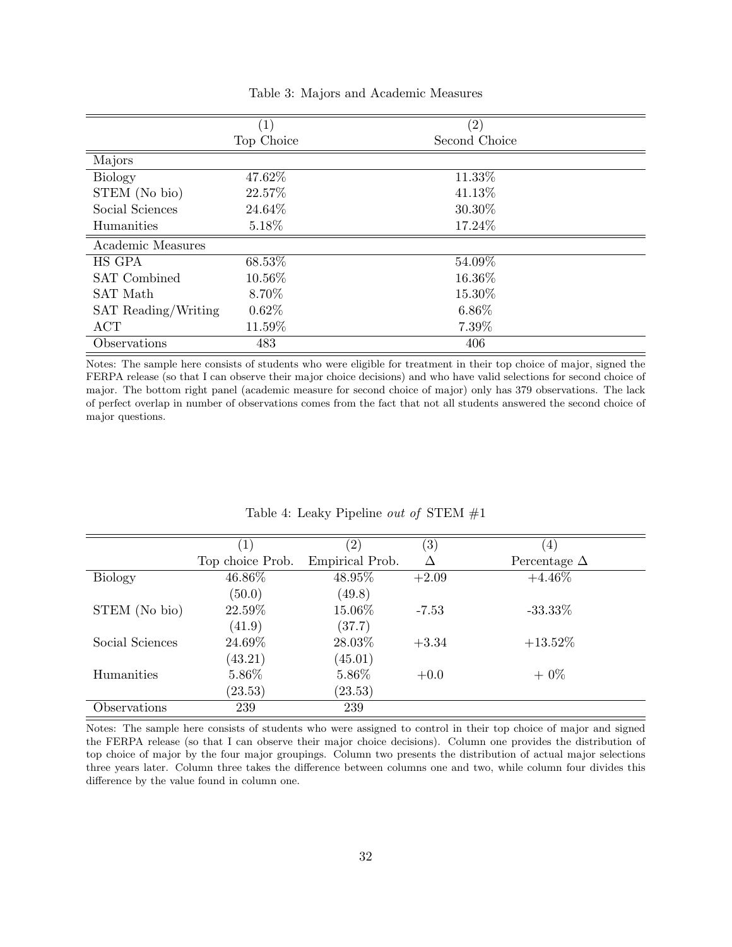|                     | $\left( 1\right)$ | $\left( 2\right)$ |
|---------------------|-------------------|-------------------|
|                     | Top Choice        | Second Choice     |
| Majors              |                   |                   |
| <b>Biology</b>      | 47.62%            | 11.33%            |
| STEM (No bio)       | 22.57%            | 41.13%            |
| Social Sciences     | 24.64%            | 30.30%            |
| Humanities          | 5.18%             | 17.24%            |
| Academic Measures   |                   |                   |
| HS GPA              | 68.53%            | 54.09%            |
| <b>SAT</b> Combined | 10.56%            | 16.36%            |
| SAT Math            | 8.70%             | 15.30%            |
| SAT Reading/Writing | $0.62\%$          | $6.86\%$          |
| <b>ACT</b>          | 11.59%            | 7.39%             |
| Observations        | 483               | 406               |

Table 3: Majors and Academic Measures

Notes: The sample here consists of students who were eligible for treatment in their top choice of major, signed the FERPA release (so that I can observe their major choice decisions) and who have valid selections for second choice of major. The bottom right panel (academic measure for second choice of major) only has 379 observations. The lack of perfect overlap in number of observations comes from the fact that not all students answered the second choice of major questions.

|                 | $ 1\rangle$      | $^{\prime}2)$   | $\left( 3\right)$ | $\left(4\right)$    |
|-----------------|------------------|-----------------|-------------------|---------------------|
|                 | Top choice Prob. | Empirical Prob. | Δ                 | Percentage $\Delta$ |
| <b>Biology</b>  | 46.86%           | 48.95%          | $+2.09$           | $+4.46\%$           |
|                 | (50.0)           | (49.8)          |                   |                     |
| STEM (No bio)   | 22.59%           | 15.06%          | $-7.53$           | $-33.33\%$          |
|                 | (41.9)           | (37.7)          |                   |                     |
| Social Sciences | 24.69%           | 28.03%          | $+3.34$           | $+13.52\%$          |
|                 | (43.21)          | (45.01)         |                   |                     |
| Humanities      | 5.86%            | 5.86\%          | $+0.0$            | $+0\%$              |
|                 | (23.53)          | (23.53)         |                   |                     |
| Observations    | 239              | 239             |                   |                     |

Table 4: Leaky Pipeline *out of* STEM  $#1$ 

Notes: The sample here consists of students who were assigned to control in their top choice of major and signed the FERPA release (so that I can observe their major choice decisions). Column one provides the distribution of top choice of major by the four major groupings. Column two presents the distribution of actual major selections three years later. Column three takes the difference between columns one and two, while column four divides this difference by the value found in column one.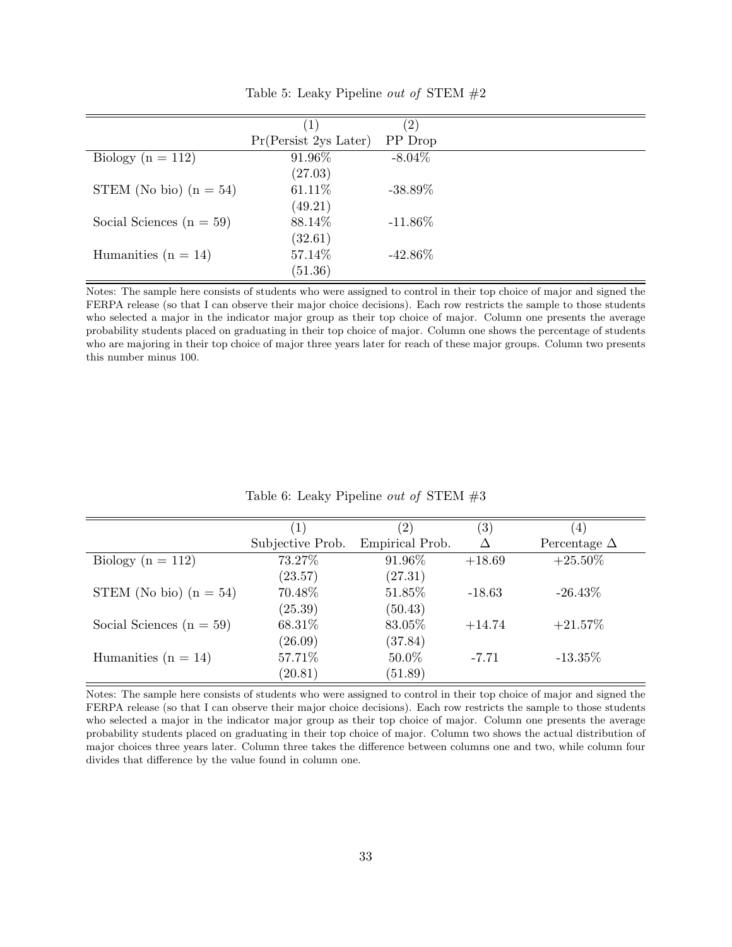|                            | (1)                      | $\left( 2\right)$ |  |
|----------------------------|--------------------------|-------------------|--|
|                            | Pr(Persistent 2ys Later) | PP Drop           |  |
| Biology ( $n = 112$ )      | 91.96%                   | $-8.04\%$         |  |
|                            | (27.03)                  |                   |  |
| STEM (No bio) $(n = 54)$   | 61.11%                   | $-38.89\%$        |  |
|                            | (49.21)                  |                   |  |
| Social Sciences $(n = 59)$ | 88.14%                   | $-11.86\%$        |  |
|                            | (32.61)                  |                   |  |
| Humanities ( $n = 14$ )    | 57.14%                   | $-42.86\%$        |  |
|                            | (51.36)                  |                   |  |

Table 5: Leaky Pipeline *out of* STEM  $#2$ 

Notes: The sample here consists of students who were assigned to control in their top choice of major and signed the FERPA release (so that I can observe their major choice decisions). Each row restricts the sample to those students who selected a major in the indicator major group as their top choice of major. Column one presents the average probability students placed on graduating in their top choice of major. Column one shows the percentage of students who are majoring in their top choice of major three years later for reach of these major groups. Column two presents this number minus 100.

| (1)              | $\left( 2\right)$ | $\left( 3\right)$ | (4)                 |
|------------------|-------------------|-------------------|---------------------|
| Subjective Prob. | Empirical Prob.   | Δ                 | Percentage $\Delta$ |
| 73.27%           | 91.96\%           | $+18.69$          | $+25.50\%$          |
| (23.57)          | (27.31)           |                   |                     |
| 70.48%           | 51.85%            | $-18.63$          | $-26.43\%$          |
| (25.39)          | (50.43)           |                   |                     |
| 68.31\%          | 83.05%            | $+14.74$          | $+21.57\%$          |
| (26.09)          | (37.84)           |                   |                     |
| 57.71%           | 50.0%             | $-7.71$           | $-13.35\%$          |
| (20.81)          | (51.89)           |                   |                     |
|                  |                   |                   |                     |

Table 6: Leaky Pipeline *out of* STEM  $#3$ 

Notes: The sample here consists of students who were assigned to control in their top choice of major and signed the FERPA release (so that I can observe their major choice decisions). Each row restricts the sample to those students who selected a major in the indicator major group as their top choice of major. Column one presents the average probability students placed on graduating in their top choice of major. Column two shows the actual distribution of major choices three years later. Column three takes the difference between columns one and two, while column four divides that difference by the value found in column one.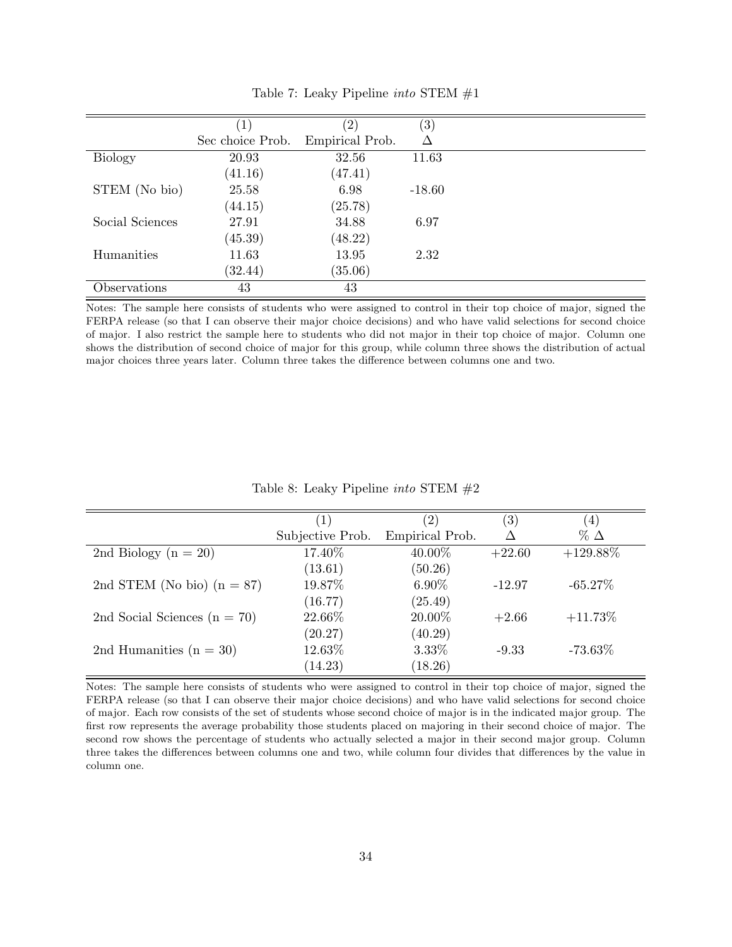|                 |                  | $^{\prime}2)$   | (3)      |  |
|-----------------|------------------|-----------------|----------|--|
|                 | Sec choice Prob. | Empirical Prob. | Δ        |  |
| <b>Biology</b>  | 20.93            | 32.56           | 11.63    |  |
|                 | (41.16)          | (47.41)         |          |  |
| STEM (No bio)   | 25.58            | 6.98            | $-18.60$ |  |
|                 | (44.15)          | (25.78)         |          |  |
| Social Sciences | 27.91            | 34.88           | 6.97     |  |
|                 | (45.39)          | (48.22)         |          |  |
| Humanities      | 11.63            | 13.95           | 2.32     |  |
|                 | (32.44)          | (35.06)         |          |  |
| Observations    | 43               | 43              |          |  |

Table 7: Leaky Pipeline into STEM #1

Notes: The sample here consists of students who were assigned to control in their top choice of major, signed the FERPA release (so that I can observe their major choice decisions) and who have valid selections for second choice of major. I also restrict the sample here to students who did not major in their top choice of major. Column one shows the distribution of second choice of major for this group, while column three shows the distribution of actual major choices three years later. Column three takes the difference between columns one and two.

|  | Table 8: Leaky Pipeline <i>into</i> STEM $#2$ |  |  |
|--|-----------------------------------------------|--|--|
|  |                                               |  |  |

|                                  | (1)              | $\left( 2\right)$ | $\left( 3\right)$ | $\left( 4\right)$ |
|----------------------------------|------------------|-------------------|-------------------|-------------------|
|                                  | Subjective Prob. | Empirical Prob.   |                   | $\%$ $\Delta$     |
| 2nd Biology ( $n = 20$ )         | 17.40%           | 40.00%            | $+22.60$          | $+129.88\%$       |
|                                  | (13.61)          | (50.26)           |                   |                   |
| 2nd STEM (No bio) $(n = 87)$     | 19.87%           | $6.90\%$          | $-12.97$          | $-65.27\%$        |
|                                  | (16.77)          | (25.49)           |                   |                   |
| 2nd Social Sciences ( $n = 70$ ) | 22.66%           | 20.00%            | $+2.66$           | $+11.73\%$        |
|                                  | (20.27)          | (40.29)           |                   |                   |
| 2nd Humanities $(n = 30)$        | 12.63%           | 3.33%             | $-9.33$           | $-73.63\%$        |
|                                  | (14.23)          | (18.26)           |                   |                   |

Notes: The sample here consists of students who were assigned to control in their top choice of major, signed the FERPA release (so that I can observe their major choice decisions) and who have valid selections for second choice of major. Each row consists of the set of students whose second choice of major is in the indicated major group. The first row represents the average probability those students placed on majoring in their second choice of major. The second row shows the percentage of students who actually selected a major in their second major group. Column three takes the differences between columns one and two, while column four divides that differences by the value in column one.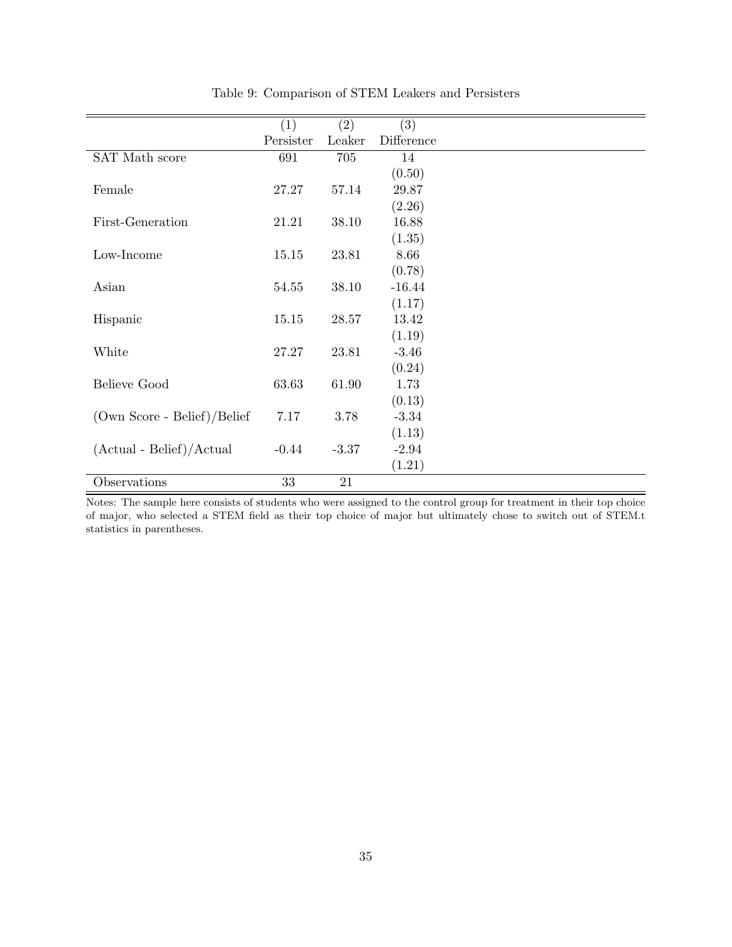|                             | (1)       | (2)     | $\overline{(3)}$ |
|-----------------------------|-----------|---------|------------------|
|                             | Persister | Leaker  | Difference       |
| SAT Math score              | 691       | 705     | 14               |
|                             |           |         | (0.50)           |
| Female                      | 27.27     | 57.14   | 29.87            |
|                             |           |         | (2.26)           |
| First-Generation            | 21.21     | 38.10   | 16.88            |
|                             |           |         | (1.35)           |
| Low-Income                  | 15.15     | 23.81   | 8.66             |
|                             |           |         | (0.78)           |
| Asian                       | 54.55     | 38.10   | $-16.44$         |
|                             |           |         | (1.17)           |
| Hispanic                    | 15.15     | 28.57   | 13.42            |
|                             |           |         | (1.19)           |
| White                       | 27.27     | 23.81   | $-3.46$          |
|                             |           |         | (0.24)           |
| Believe Good                | 63.63     | 61.90   | 1.73             |
|                             |           |         | (0.13)           |
| (Own Score - Belief)/Belief | 7.17      | 3.78    | $-3.34$          |
|                             |           |         | (1.13)           |
| $(Actual - Belief)/Actual$  | $-0.44$   | $-3.37$ | $-2.94$          |
|                             |           |         | (1.21)           |
| Observations                | 33        | 21      |                  |

Table 9: Comparison of STEM Leakers and Persisters

Notes: The sample here consists of students who were assigned to the control group for treatment in their top choice of major, who selected a STEM field as their top choice of major but ultimately chose to switch out of STEM.t statistics in parentheses.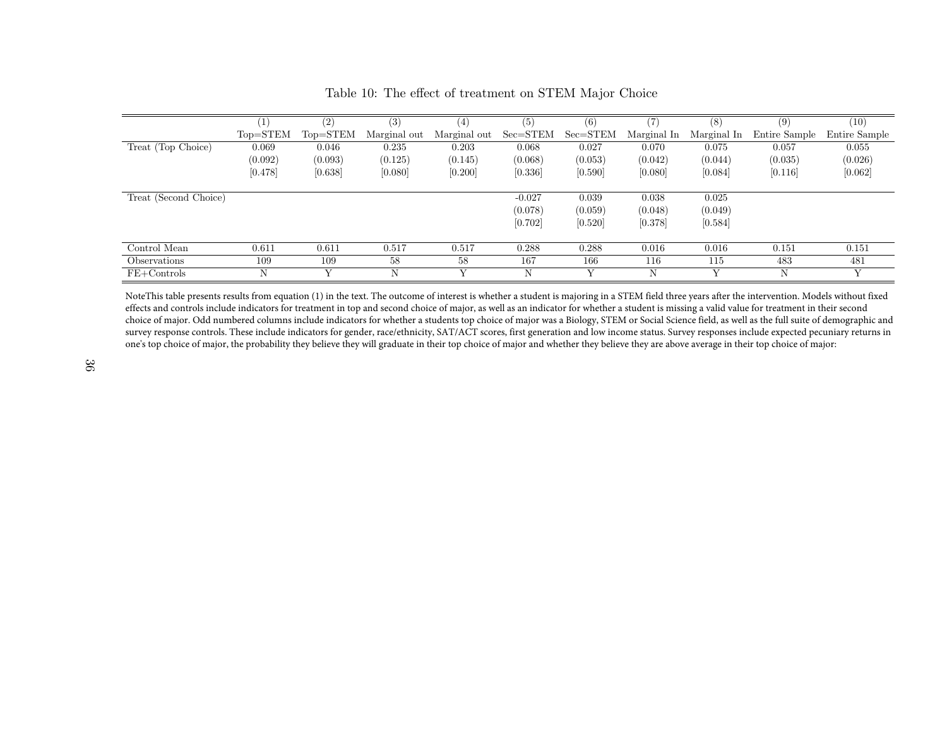|                       | $\left(1\right)$ | (2)                                  | (3)          | $\left( 4\right)$ | (5)          | (6)          | (7)         | (8)         | (9)           | $\left(10\right)$ |
|-----------------------|------------------|--------------------------------------|--------------|-------------------|--------------|--------------|-------------|-------------|---------------|-------------------|
|                       | Top=STEM         | $\mathrm{Top}\text{=} \mathrm{STEM}$ | Marginal out | Marginal out      | $Sec = STEM$ | $Sec = STEM$ | Marginal In | Marginal In | Entire Sample | Entire Sample     |
| Treat (Top Choice)    | 0.069            | 0.046                                | 0.235        | 0.203             | 0.068        | 0.027        | 0.070       | 0.075       | 0.057         | 0.055             |
|                       | (0.092)          | (0.093)                              | (0.125)      | (0.145)           | (0.068)      | (0.053)      | (0.042)     | (0.044)     | (0.035)       | (0.026)           |
|                       | [0.478]          | [0.638]                              | [0.080]      | [0.200]           | [0.336]      | [0.590]      | [0.080]     | [0.084]     | [0.116]       | [0.062]           |
|                       |                  |                                      |              |                   |              |              |             |             |               |                   |
| Treat (Second Choice) |                  |                                      |              |                   | $-0.027$     | 0.039        | 0.038       | 0.025       |               |                   |
|                       |                  |                                      |              |                   | (0.078)      | (0.059)      | (0.048)     | (0.049)     |               |                   |
|                       |                  |                                      |              |                   | [0.702]      | [0.520]      | [0.378]     | [0.584]     |               |                   |
|                       |                  |                                      |              |                   |              |              |             |             |               |                   |
| Control Mean          | 0.611            | 0.611                                | 0.517        | 0.517             | 0.288        | 0.288        | 0.016       | 0.016       | 0.151         | 0.151             |
| <b>Observations</b>   | 109              | 109                                  | 58           | 58                | 167          | 166          | 116         | 115         | 483           | 481               |
| $FE+Controls$         | N                |                                      | Ν            |                   | N            |              | N           |             | Ν             | Y                 |
|                       |                  |                                      |              |                   |              |              |             |             |               |                   |

Table 10: The effect of treatment on STEM Major Choice

NoteThis table presents results from equation (1) in the text. The outcome of interest is whether a student is majoring in a STEM field three years after the intervention. Models without fixed effects and controls include indicators for treatment in top and second choice of major, as well as an indicator for whether a student is missing a valid value for treatment in their second choice of major. Odd numbered columns include indicators for whether a students top choice of major was a Biology, STEM or Social Science field, as well as the full suite of demographic and survey response controls. These include indicators for gender, race/ethnicity, SAT/ACT scores, first generation and low income status. Survey responses include expected pecuniary returns in one's top choice of major, the probability they believe they will graduate in their top choice of major and whether they believe they are above average in their top choice of major: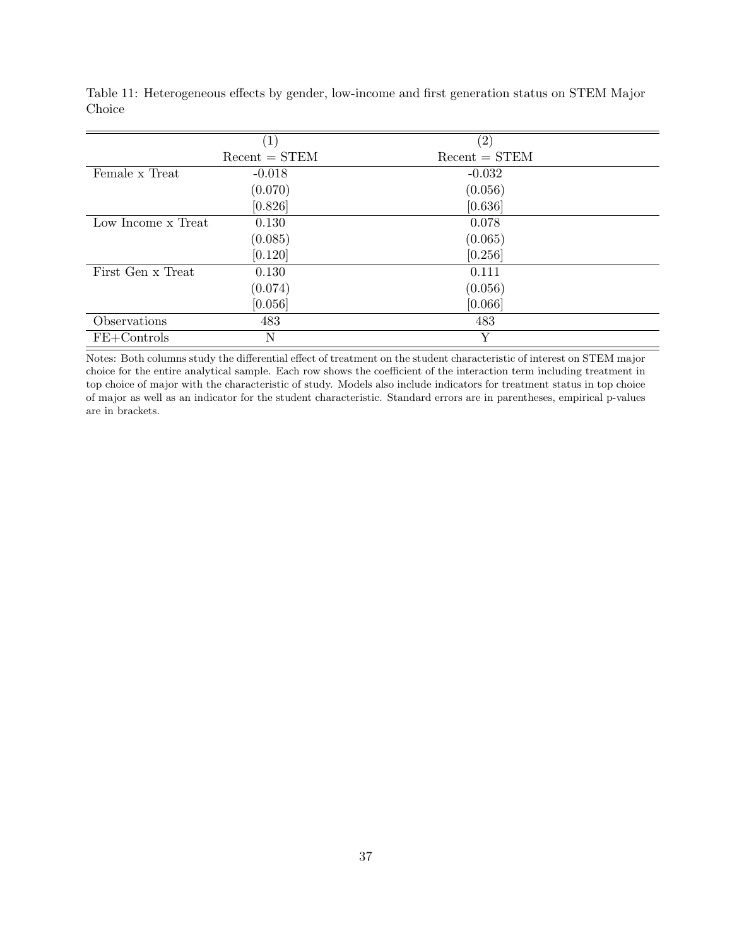|                    | $\left( 1\right)$ | $\rm(2)$        |
|--------------------|-------------------|-----------------|
|                    | $Recent = STEM$   | $Recent = STEM$ |
| Female x Treat     | $-0.018$          | $-0.032$        |
|                    | (0.070)           | (0.056)         |
|                    | [0.826]           | [0.636]         |
| Low Income x Treat | 0.130             | 0.078           |
|                    | (0.085)           | (0.065)         |
|                    | [0.120]           | [0.256]         |
| First Gen x Treat  | 0.130             | 0.111           |
|                    | (0.074)           | (0.056)         |
|                    | [0.056]           | [0.066]         |
| Observations       | 483               | 483             |
| $FE+Controls$      | Ν                 | Y               |

Table 11: Heterogeneous effects by gender, low-income and first generation status on STEM Major Choice

Notes: Both columns study the differential effect of treatment on the student characteristic of interest on STEM major choice for the entire analytical sample. Each row shows the coefficient of the interaction term including treatment in top choice of major with the characteristic of study. Models also include indicators for treatment status in top choice of major as well as an indicator for the student characteristic. Standard errors are in parentheses, empirical p-values are in brackets.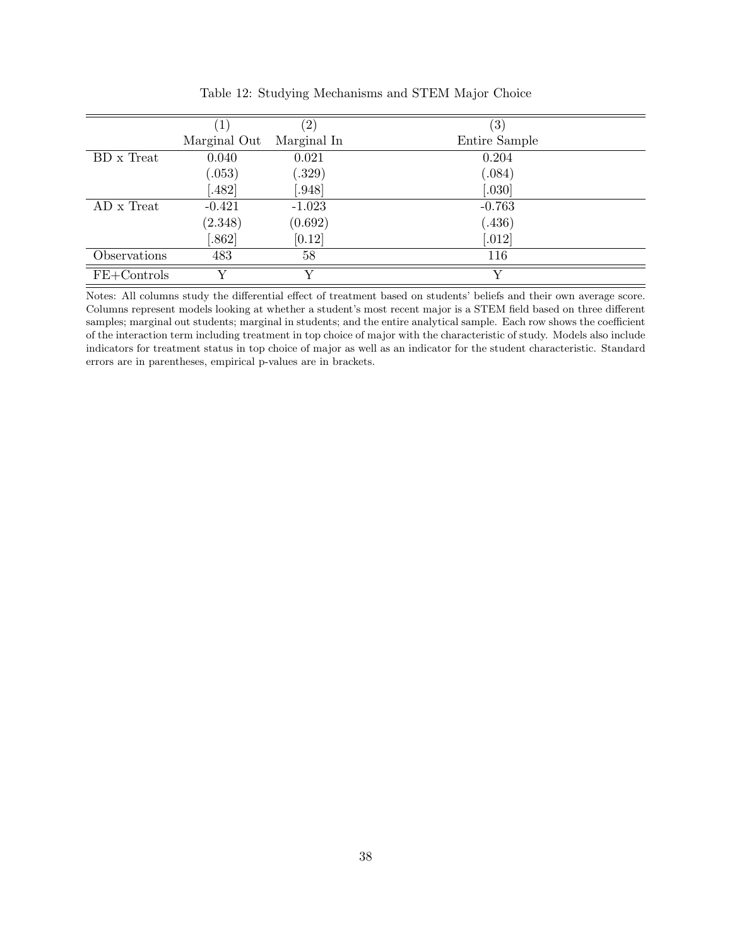|               | $\perp$      | $\left( 2\right)$ | $\left( 3\right)$ |
|---------------|--------------|-------------------|-------------------|
|               | Marginal Out | Marginal In       | Entire Sample     |
| BD x Treat    | 0.040        | 0.021             | 0.204             |
|               | (.053)       | (.329)            | (.084)            |
|               | .482]        | .948              | [.030]            |
| AD x Treat    | $-0.421$     | $-1.023$          | $-0.763$          |
|               | (2.348)      | (0.692)           | (.436)            |
|               | .862]        | [0.12]            | [.012]            |
| Observations  | 483          | 58                | 116               |
| $FE+Controls$ | $\rm{V}$     | V                 |                   |

Table 12: Studying Mechanisms and STEM Major Choice

Notes: All columns study the differential effect of treatment based on students' beliefs and their own average score. Columns represent models looking at whether a student's most recent major is a STEM field based on three different samples; marginal out students; marginal in students; and the entire analytical sample. Each row shows the coefficient of the interaction term including treatment in top choice of major with the characteristic of study. Models also include indicators for treatment status in top choice of major as well as an indicator for the student characteristic. Standard errors are in parentheses, empirical p-values are in brackets.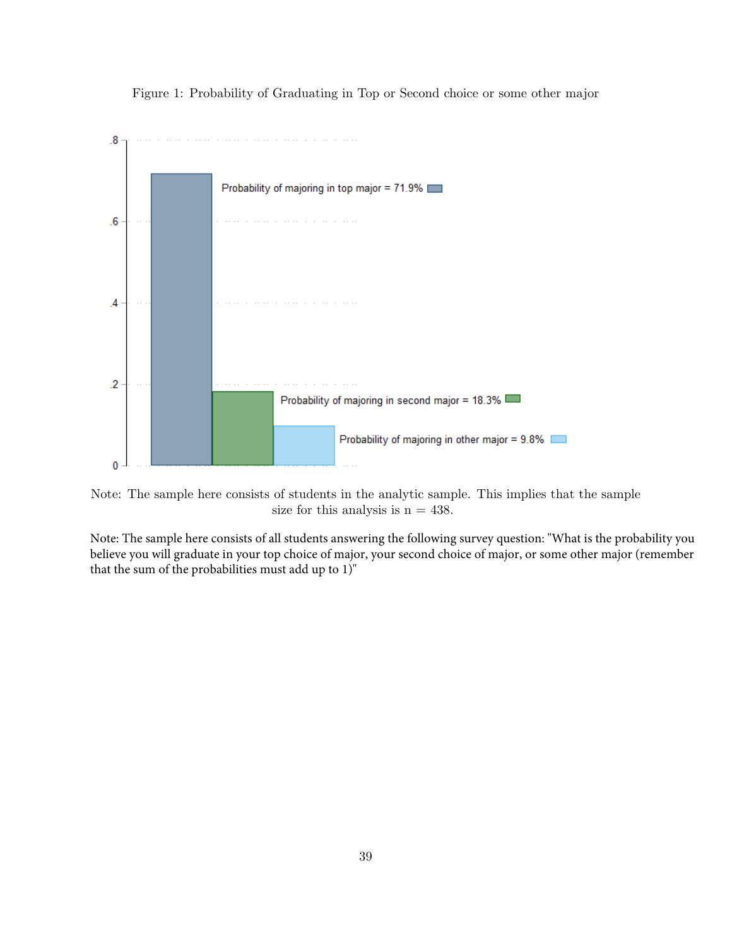Figure 1: Probability of Graduating in Top or Second choice or some other major



Note: The sample here consists of students in the analytic sample. This implies that the sample size for this analysis is  $n = 438$ .

Note: The sample here consists of all students answering the following survey question: "What is the probability you believe you will graduate in your top choice of major, your second choice of major, or some other major (remember that the sum of the probabilities must add up to 1)"